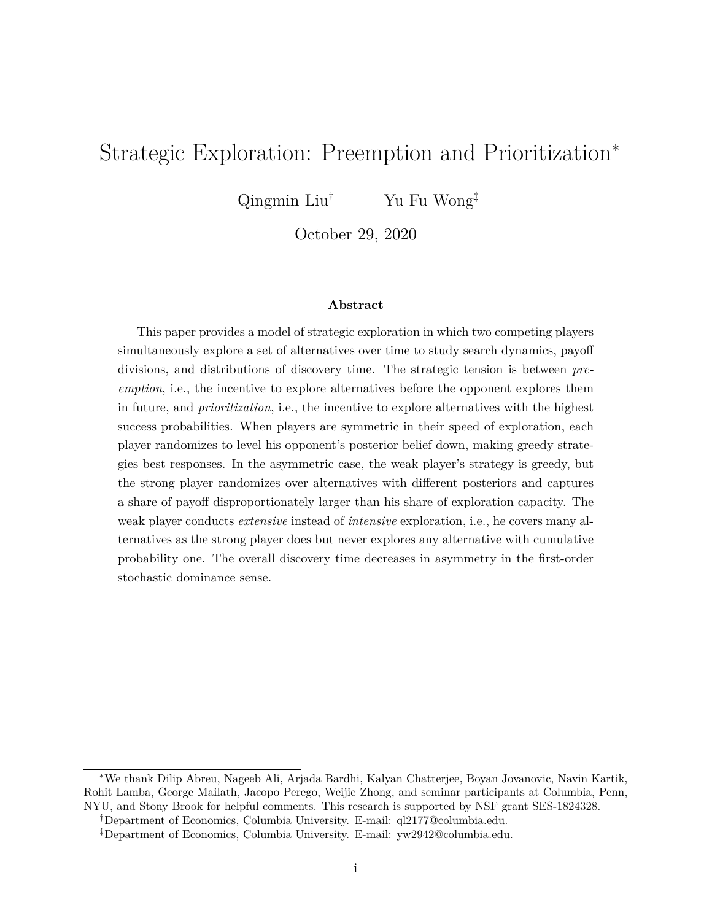# Strategic Exploration: Preemption and Prioritization<sup>∗</sup>

Qingmin Liu<sup>†</sup> Yu Fu Wong<sup>‡</sup>

October 29, 2020

#### **Abstract**

This paper provides a model of strategic exploration in which two competing players simultaneously explore a set of alternatives over time to study search dynamics, payoff divisions, and distributions of discovery time. The strategic tension is between *preemption*, i.e., the incentive to explore alternatives before the opponent explores them in future, and *prioritization*, i.e., the incentive to explore alternatives with the highest success probabilities. When players are symmetric in their speed of exploration, each player randomizes to level his opponent's posterior belief down, making greedy strategies best responses. In the asymmetric case, the weak player's strategy is greedy, but the strong player randomizes over alternatives with different posteriors and captures a share of payoff disproportionately larger than his share of exploration capacity. The weak player conducts *extensive* instead of *intensive* exploration, i.e., he covers many alternatives as the strong player does but never explores any alternative with cumulative probability one. The overall discovery time decreases in asymmetry in the first-order stochastic dominance sense.

†Department of Economics, Columbia University. E-mail: ql2177@columbia.edu.

<sup>∗</sup>We thank Dilip Abreu, Nageeb Ali, Arjada Bardhi, Kalyan Chatterjee, Boyan Jovanovic, Navin Kartik, Rohit Lamba, George Mailath, Jacopo Perego, Weijie Zhong, and seminar participants at Columbia, Penn, NYU, and Stony Brook for helpful comments. This research is supported by NSF grant SES-1824328.

<sup>‡</sup>Department of Economics, Columbia University. E-mail: yw2942@columbia.edu.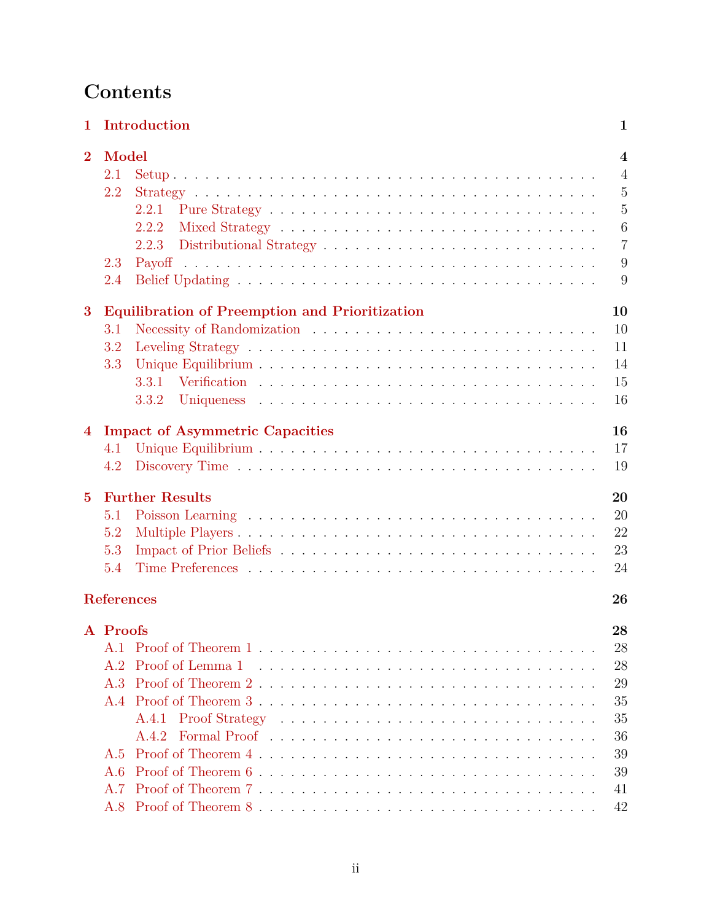# **Contents**

| 1        |                                                     | Introduction                                                                                                                           | 1                                                                                                    |
|----------|-----------------------------------------------------|----------------------------------------------------------------------------------------------------------------------------------------|------------------------------------------------------------------------------------------------------|
| $\bf{2}$ | Model<br>2.1<br>2.2                                 | 2.2.1<br>2.2.2<br>2.2.3                                                                                                                | $\overline{\mathbf{4}}$<br>$\overline{4}$<br>$\overline{5}$<br>$\overline{5}$<br>6<br>$\overline{7}$ |
|          | 2.3<br>2.4                                          |                                                                                                                                        | 9<br>9                                                                                               |
| 3        | 3.1<br>3.2<br>3.3                                   | <b>Equilibration of Preemption and Prioritization</b><br>3.3.2                                                                         | 10<br>10<br>11<br>14<br>15<br>16                                                                     |
| 4        | 4.1<br>4.2                                          | <b>Impact of Asymmetric Capacities</b>                                                                                                 | 16<br>17<br>19                                                                                       |
| $\bf{5}$ | 5.1<br>5.2<br>5.3<br>5.4                            | <b>Further Results</b>                                                                                                                 | 20<br>20<br>22<br>23<br>24                                                                           |
|          | <b>References</b>                                   |                                                                                                                                        | 26                                                                                                   |
|          | A Proofs<br>A. 1<br>A.2<br>A.3<br>A.4<br>A.5<br>A.6 | Proof of Lemma 1<br>A.4.1<br>Formal Proof (and a series and a series and a series and a series and a series of $\overline{a}$<br>A.4.2 | 28<br>28<br>28<br>29<br>35<br>35<br>36<br>39<br>39                                                   |
|          | A 7<br>A.8                                          |                                                                                                                                        | 41<br>42                                                                                             |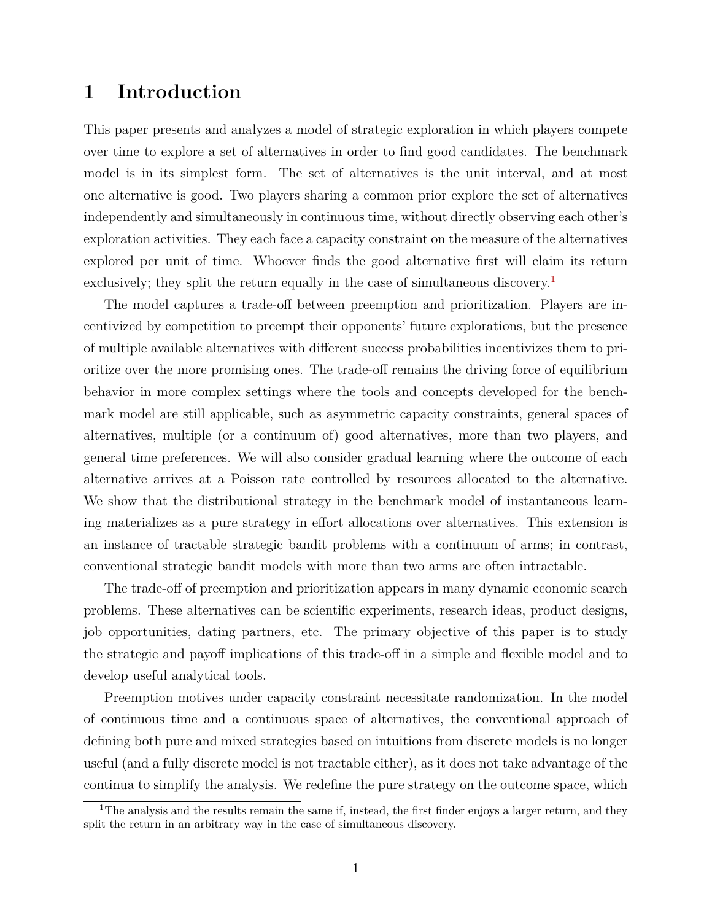## <span id="page-2-0"></span>**1 Introduction**

This paper presents and analyzes a model of strategic exploration in which players compete over time to explore a set of alternatives in order to find good candidates. The benchmark model is in its simplest form. The set of alternatives is the unit interval, and at most one alternative is good. Two players sharing a common prior explore the set of alternatives independently and simultaneously in continuous time, without directly observing each other's exploration activities. They each face a capacity constraint on the measure of the alternatives explored per unit of time. Whoever finds the good alternative first will claim its return exclusively; they split the return equally in the case of simultaneous discovery.<sup>[1](#page-2-1)</sup>

The model captures a trade-off between preemption and prioritization. Players are incentivized by competition to preempt their opponents' future explorations, but the presence of multiple available alternatives with different success probabilities incentivizes them to prioritize over the more promising ones. The trade-off remains the driving force of equilibrium behavior in more complex settings where the tools and concepts developed for the benchmark model are still applicable, such as asymmetric capacity constraints, general spaces of alternatives, multiple (or a continuum of) good alternatives, more than two players, and general time preferences. We will also consider gradual learning where the outcome of each alternative arrives at a Poisson rate controlled by resources allocated to the alternative. We show that the distributional strategy in the benchmark model of instantaneous learning materializes as a pure strategy in effort allocations over alternatives. This extension is an instance of tractable strategic bandit problems with a continuum of arms; in contrast, conventional strategic bandit models with more than two arms are often intractable.

The trade-off of preemption and prioritization appears in many dynamic economic search problems. These alternatives can be scientific experiments, research ideas, product designs, job opportunities, dating partners, etc. The primary objective of this paper is to study the strategic and payoff implications of this trade-off in a simple and flexible model and to develop useful analytical tools.

Preemption motives under capacity constraint necessitate randomization. In the model of continuous time and a continuous space of alternatives, the conventional approach of defining both pure and mixed strategies based on intuitions from discrete models is no longer useful (and a fully discrete model is not tractable either), as it does not take advantage of the continua to simplify the analysis. We redefine the pure strategy on the outcome space, which

<span id="page-2-1"></span><sup>&</sup>lt;sup>1</sup>The analysis and the results remain the same if, instead, the first finder enjoys a larger return, and they split the return in an arbitrary way in the case of simultaneous discovery.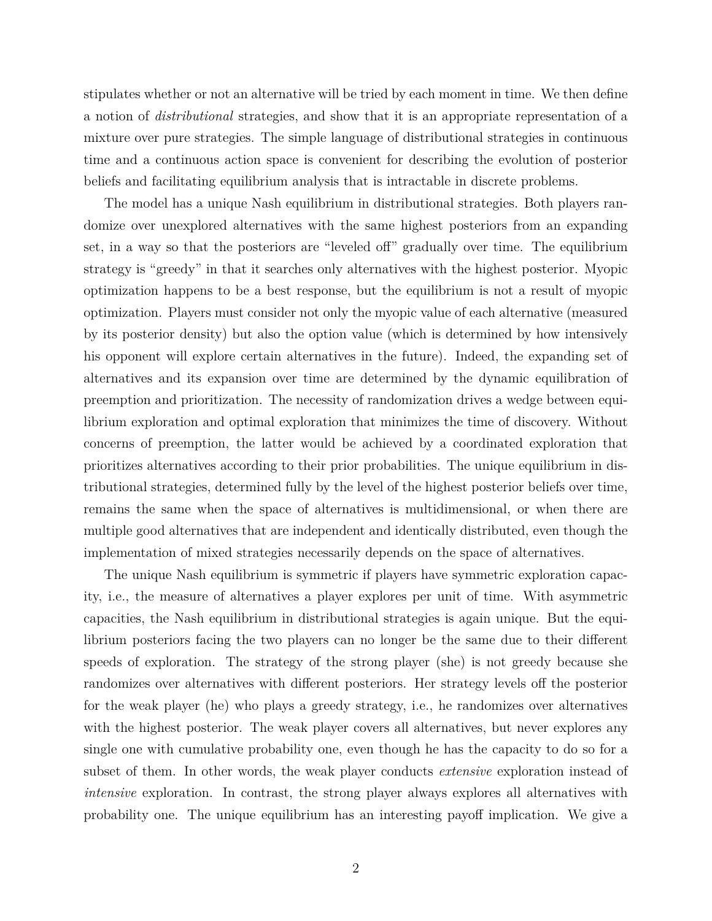stipulates whether or not an alternative will be tried by each moment in time. We then define a notion of *distributional* strategies, and show that it is an appropriate representation of a mixture over pure strategies. The simple language of distributional strategies in continuous time and a continuous action space is convenient for describing the evolution of posterior beliefs and facilitating equilibrium analysis that is intractable in discrete problems.

The model has a unique Nash equilibrium in distributional strategies. Both players randomize over unexplored alternatives with the same highest posteriors from an expanding set, in a way so that the posteriors are "leveled off" gradually over time. The equilibrium strategy is "greedy" in that it searches only alternatives with the highest posterior. Myopic optimization happens to be a best response, but the equilibrium is not a result of myopic optimization. Players must consider not only the myopic value of each alternative (measured by its posterior density) but also the option value (which is determined by how intensively his opponent will explore certain alternatives in the future). Indeed, the expanding set of alternatives and its expansion over time are determined by the dynamic equilibration of preemption and prioritization. The necessity of randomization drives a wedge between equilibrium exploration and optimal exploration that minimizes the time of discovery. Without concerns of preemption, the latter would be achieved by a coordinated exploration that prioritizes alternatives according to their prior probabilities. The unique equilibrium in distributional strategies, determined fully by the level of the highest posterior beliefs over time, remains the same when the space of alternatives is multidimensional, or when there are multiple good alternatives that are independent and identically distributed, even though the implementation of mixed strategies necessarily depends on the space of alternatives.

The unique Nash equilibrium is symmetric if players have symmetric exploration capacity, i.e., the measure of alternatives a player explores per unit of time. With asymmetric capacities, the Nash equilibrium in distributional strategies is again unique. But the equilibrium posteriors facing the two players can no longer be the same due to their different speeds of exploration. The strategy of the strong player (she) is not greedy because she randomizes over alternatives with different posteriors. Her strategy levels off the posterior for the weak player (he) who plays a greedy strategy, i.e., he randomizes over alternatives with the highest posterior. The weak player covers all alternatives, but never explores any single one with cumulative probability one, even though he has the capacity to do so for a subset of them. In other words, the weak player conducts *extensive* exploration instead of *intensive* exploration. In contrast, the strong player always explores all alternatives with probability one. The unique equilibrium has an interesting payoff implication. We give a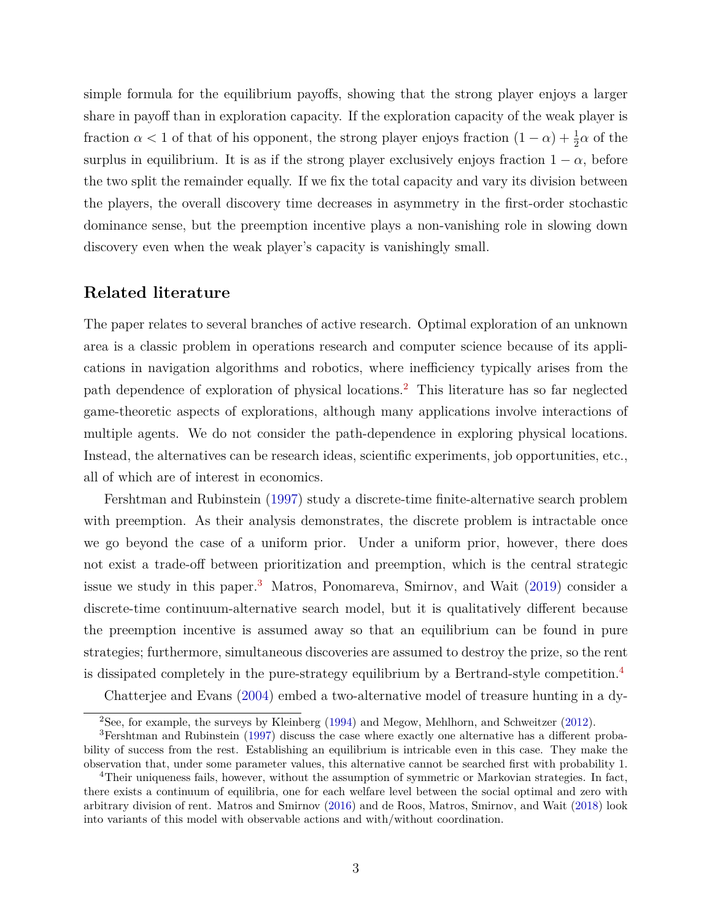simple formula for the equilibrium payoffs, showing that the strong player enjoys a larger share in payoff than in exploration capacity. If the exploration capacity of the weak player is fraction  $\alpha < 1$  of that of his opponent, the strong player enjoys fraction  $(1 - \alpha) + \frac{1}{2}\alpha$  of the surplus in equilibrium. It is as if the strong player exclusively enjoys fraction  $1 - \alpha$ , before the two split the remainder equally. If we fix the total capacity and vary its division between the players, the overall discovery time decreases in asymmetry in the first-order stochastic dominance sense, but the preemption incentive plays a non-vanishing role in slowing down discovery even when the weak player's capacity is vanishingly small.

## **Related literature**

The paper relates to several branches of active research. Optimal exploration of an unknown area is a classic problem in operations research and computer science because of its applications in navigation algorithms and robotics, where inefficiency typically arises from the path dependence of exploration of physical locations.[2](#page-4-0) This literature has so far neglected game-theoretic aspects of explorations, although many applications involve interactions of multiple agents. We do not consider the path-dependence in exploring physical locations. Instead, the alternatives can be research ideas, scientific experiments, job opportunities, etc., all of which are of interest in economics.

Fershtman and Rubinstein [\(1997\)](#page-27-1) study a discrete-time finite-alternative search problem with preemption. As their analysis demonstrates, the discrete problem is intractable once we go beyond the case of a uniform prior. Under a uniform prior, however, there does not exist a trade-off between prioritization and preemption, which is the central strategic issue we study in this paper.<sup>[3](#page-4-1)</sup> Matros, Ponomareva, Smirnov, and Wait [\(2019\)](#page-27-2) consider a discrete-time continuum-alternative search model, but it is qualitatively different because the preemption incentive is assumed away so that an equilibrium can be found in pure strategies; furthermore, simultaneous discoveries are assumed to destroy the prize, so the rent is dissipated completely in the pure-strategy equilibrium by a Bertrand-style competition.[4](#page-4-2)

Chatterjee and Evans [\(2004\)](#page-27-3) embed a two-alternative model of treasure hunting in a dy-

<span id="page-4-1"></span><span id="page-4-0"></span><sup>2</sup>See, for example, the surveys by Kleinberg [\(1994\)](#page-27-4) and Megow, Mehlhorn, and Schweitzer [\(2012\)](#page-28-0).

<sup>3</sup>Fershtman and Rubinstein [\(1997\)](#page-27-1) discuss the case where exactly one alternative has a different probability of success from the rest. Establishing an equilibrium is intricable even in this case. They make the observation that, under some parameter values, this alternative cannot be searched first with probability 1.

<span id="page-4-2"></span><sup>&</sup>lt;sup>4</sup>Their uniqueness fails, however, without the assumption of symmetric or Markovian strategies. In fact, there exists a continuum of equilibria, one for each welfare level between the social optimal and zero with arbitrary division of rent. Matros and Smirnov [\(2016\)](#page-28-1) and de Roos, Matros, Smirnov, and Wait [\(2018\)](#page-27-5) look into variants of this model with observable actions and with/without coordination.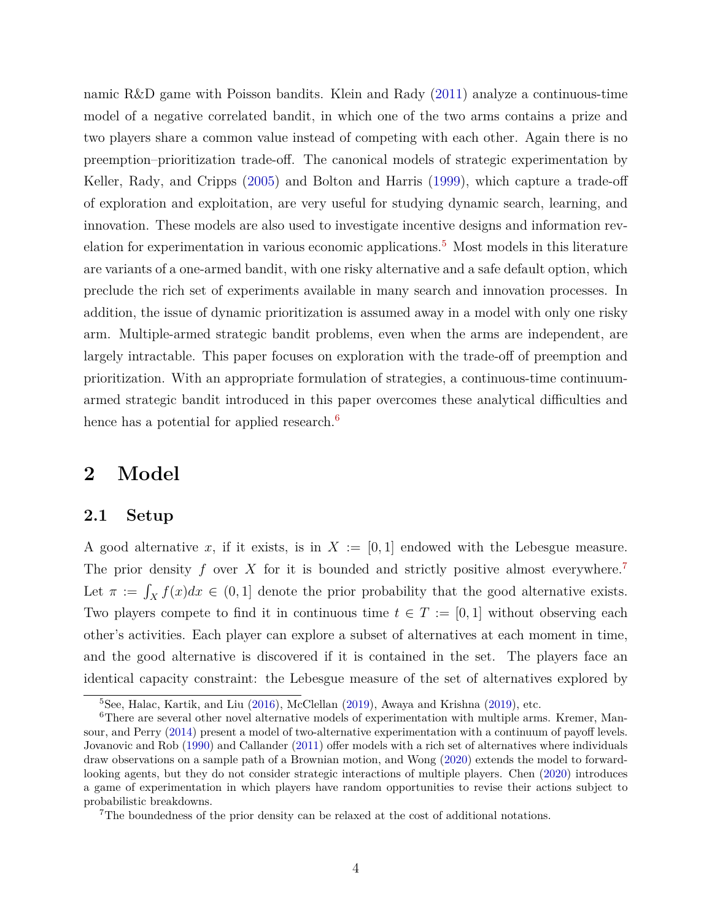namic R&D game with Poisson bandits. Klein and Rady [\(2011\)](#page-27-6) analyze a continuous-time model of a negative correlated bandit, in which one of the two arms contains a prize and two players share a common value instead of competing with each other. Again there is no preemption–prioritization trade-off. The canonical models of strategic experimentation by Keller, Rady, and Cripps [\(2005\)](#page-27-7) and Bolton and Harris [\(1999\)](#page-27-8), which capture a trade-off of exploration and exploitation, are very useful for studying dynamic search, learning, and innovation. These models are also used to investigate incentive designs and information rev-elation for experimentation in various economic applications.<sup>[5](#page-5-2)</sup> Most models in this literature are variants of a one-armed bandit, with one risky alternative and a safe default option, which preclude the rich set of experiments available in many search and innovation processes. In addition, the issue of dynamic prioritization is assumed away in a model with only one risky arm. Multiple-armed strategic bandit problems, even when the arms are independent, are largely intractable. This paper focuses on exploration with the trade-off of preemption and prioritization. With an appropriate formulation of strategies, a continuous-time continuumarmed strategic bandit introduced in this paper overcomes these analytical difficulties and hence has a potential for applied research. $6$ 

## <span id="page-5-0"></span>**2 Model**

## <span id="page-5-1"></span>**2.1 Setup**

A good alternative x, if it exists, is in  $X := [0, 1]$  endowed with the Lebesgue measure. The prior density  $f$  over  $X$  for it is bounded and strictly positive almost everywhere.<sup>[7](#page-5-4)</sup> Let  $\pi := \int_X f(x)dx \in (0,1]$  denote the prior probability that the good alternative exists. Two players compete to find it in continuous time  $t \in T := [0, 1]$  without observing each other's activities. Each player can explore a subset of alternatives at each moment in time, and the good alternative is discovered if it is contained in the set. The players face an identical capacity constraint: the Lebesgue measure of the set of alternatives explored by

<span id="page-5-3"></span><span id="page-5-2"></span><sup>5</sup>See, Halac, Kartik, and Liu [\(2016\)](#page-27-9), McClellan [\(2019\)](#page-28-2), Awaya and Krishna [\(2019\)](#page-27-10), etc.

<sup>&</sup>lt;sup>6</sup>There are several other novel alternative models of experimentation with multiple arms. Kremer, Mansour, and Perry [\(2014\)](#page-27-11) present a model of two-alternative experimentation with a continuum of payoff levels. Jovanovic and Rob [\(1990\)](#page-27-12) and Callander [\(2011\)](#page-27-13) offer models with a rich set of alternatives where individuals draw observations on a sample path of a Brownian motion, and Wong [\(2020\)](#page-28-3) extends the model to forwardlooking agents, but they do not consider strategic interactions of multiple players. Chen [\(2020\)](#page-27-14) introduces a game of experimentation in which players have random opportunities to revise their actions subject to probabilistic breakdowns.

<span id="page-5-4"></span><sup>7</sup>The boundedness of the prior density can be relaxed at the cost of additional notations.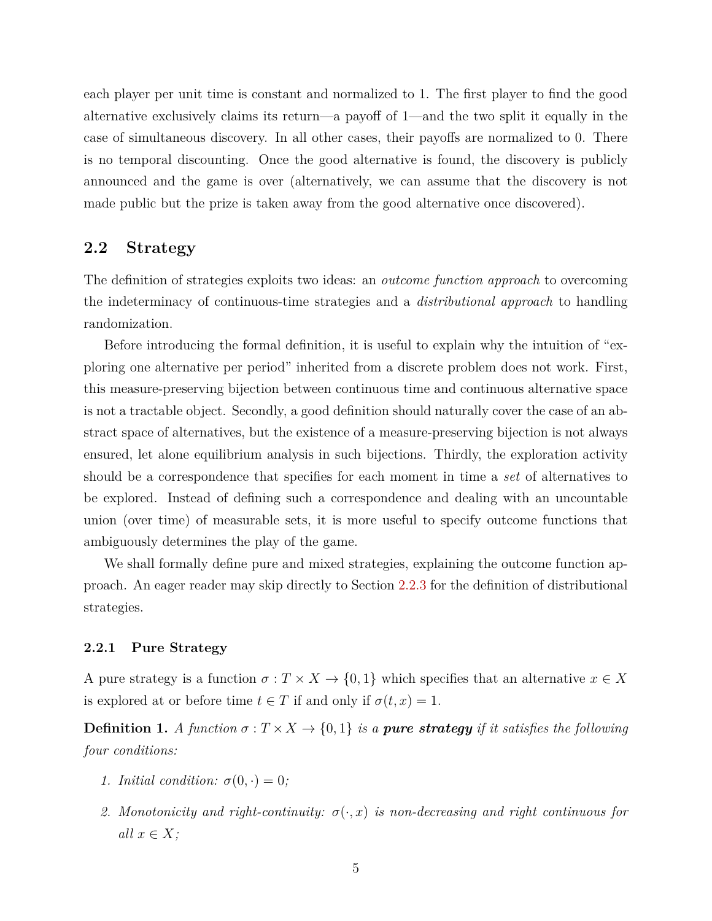each player per unit time is constant and normalized to 1. The first player to find the good alternative exclusively claims its return—a payoff of 1—and the two split it equally in the case of simultaneous discovery. In all other cases, their payoffs are normalized to 0. There is no temporal discounting. Once the good alternative is found, the discovery is publicly announced and the game is over (alternatively, we can assume that the discovery is not made public but the prize is taken away from the good alternative once discovered).

## <span id="page-6-0"></span>**2.2 Strategy**

The definition of strategies exploits two ideas: an *outcome function approach* to overcoming the indeterminacy of continuous-time strategies and a *distributional approach* to handling randomization.

Before introducing the formal definition, it is useful to explain why the intuition of "exploring one alternative per period" inherited from a discrete problem does not work. First, this measure-preserving bijection between continuous time and continuous alternative space is not a tractable object. Secondly, a good definition should naturally cover the case of an abstract space of alternatives, but the existence of a measure-preserving bijection is not always ensured, let alone equilibrium analysis in such bijections. Thirdly, the exploration activity should be a correspondence that specifies for each moment in time a *set* of alternatives to be explored. Instead of defining such a correspondence and dealing with an uncountable union (over time) of measurable sets, it is more useful to specify outcome functions that ambiguously determines the play of the game.

We shall formally define pure and mixed strategies, explaining the outcome function approach. An eager reader may skip directly to Section [2.2.3](#page-8-0) for the definition of distributional strategies.

#### <span id="page-6-1"></span>**2.2.1 Pure Strategy**

A pure strategy is a function  $\sigma: T \times X \to \{0, 1\}$  which specifies that an alternative  $x \in X$ is explored at or before time  $t \in T$  if and only if  $\sigma(t, x) = 1$ .

<span id="page-6-2"></span>**Definition 1.** *A function*  $\sigma: T \times X \rightarrow \{0, 1\}$  *is a pure strategy if it satisfies the following four conditions:*

- *1. Initial condition:*  $\sigma(0, \cdot) = 0$ *;*
- *2. Monotonicity and right-continuity:*  $\sigma(\cdot, x)$  *is non-decreasing and right continuous for*  $all x \in X;$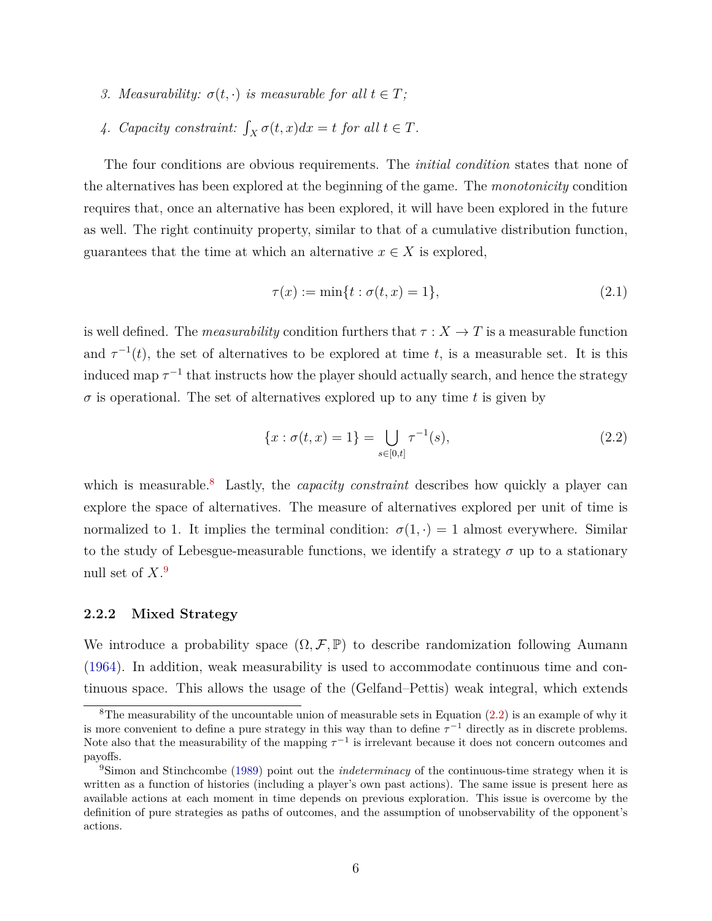- *3. Measurability:*  $\sigma(t, \cdot)$  *is measurable for all*  $t \in T$ *;*
- 4. *Capacity constraint:*  $\int_X \sigma(t, x) dx = t$  *for all*  $t \in T$ *.*

The four conditions are obvious requirements. The *initial condition* states that none of the alternatives has been explored at the beginning of the game. The *monotonicity* condition requires that, once an alternative has been explored, it will have been explored in the future as well. The right continuity property, similar to that of a cumulative distribution function, guarantees that the time at which an alternative  $x \in X$  is explored,

$$
\tau(x) := \min\{t : \sigma(t, x) = 1\},\tag{2.1}
$$

is well defined. The *measurability* condition furthers that  $\tau : X \to T$  is a measurable function and  $\tau^{-1}(t)$ , the set of alternatives to be explored at time *t*, is a measurable set. It is this induced map  $\tau^{-1}$  that instructs how the player should actually search, and hence the strategy  $\sigma$  is operational. The set of alternatives explored up to any time *t* is given by

<span id="page-7-3"></span>
$$
\{x : \sigma(t, x) = 1\} = \bigcup_{s \in [0, t]} \tau^{-1}(s),\tag{2.2}
$$

which is measurable.<sup>[8](#page-7-1)</sup> Lastly, the *capacity constraint* describes how quickly a player can explore the space of alternatives. The measure of alternatives explored per unit of time is normalized to 1. It implies the terminal condition:  $\sigma(1, \cdot) = 1$  almost everywhere. Similar to the study of Lebesgue-measurable functions, we identify a strategy  $\sigma$  up to a stationary null set of *X*. [9](#page-7-2)

#### <span id="page-7-0"></span>**2.2.2 Mixed Strategy**

We introduce a probability space  $(\Omega, \mathcal{F}, \mathbb{P})$  to describe randomization following Aumann [\(1964\)](#page-27-15). In addition, weak measurability is used to accommodate continuous time and continuous space. This allows the usage of the (Gelfand–Pettis) weak integral, which extends

<span id="page-7-1"></span><sup>&</sup>lt;sup>8</sup>The measurability of the uncountable union of measurable sets in Equation  $(2.2)$  is an example of why it is more convenient to define a pure strategy in this way than to define  $\tau^{-1}$  directly as in discrete problems. Note also that the measurability of the mapping  $\tau^{-1}$  is irrelevant because it does not concern outcomes and payoffs.

<span id="page-7-2"></span><sup>9</sup>Simon and Stinchcombe [\(1989\)](#page-28-4) point out the *indeterminacy* of the continuous-time strategy when it is written as a function of histories (including a player's own past actions). The same issue is present here as available actions at each moment in time depends on previous exploration. This issue is overcome by the definition of pure strategies as paths of outcomes, and the assumption of unobservability of the opponent's actions.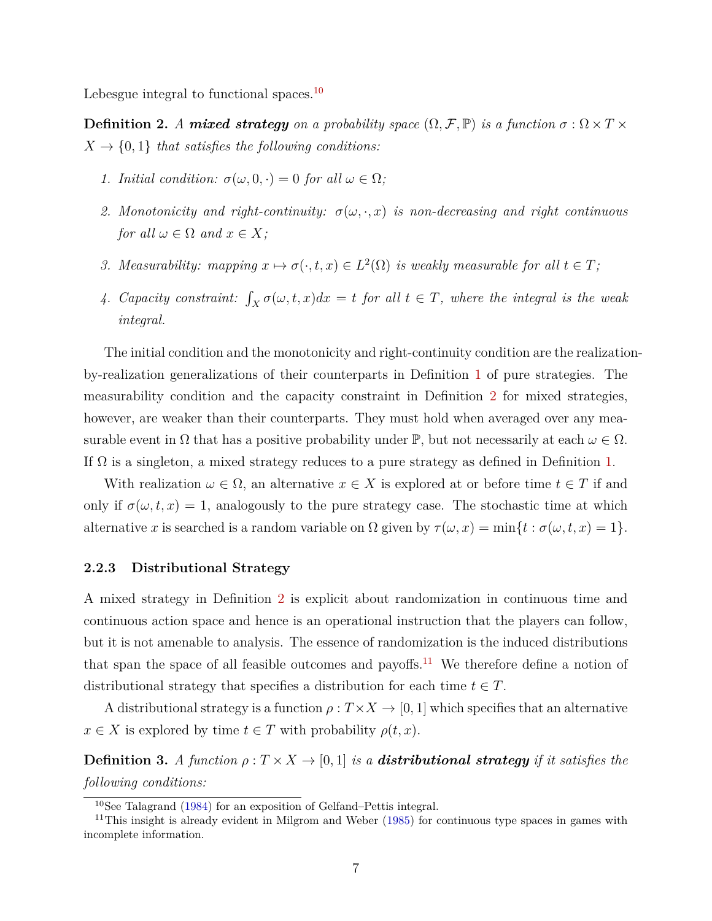<span id="page-8-2"></span>Lebesgue integral to functional spaces.<sup>[10](#page-8-1)</sup>

**Definition 2.** *A* **mixed strategy** on a probability space  $(\Omega, \mathcal{F}, \mathbb{P})$  is a function  $\sigma : \Omega \times T \times T$  $X \rightarrow \{0, 1\}$  *that satisfies the following conditions:* 

- *1. Initial condition:*  $\sigma(\omega, 0, \cdot) = 0$  *for all*  $\omega \in \Omega$ ;
- *2. Monotonicity and right-continuity:*  $\sigma(\omega, \cdot, x)$  *is non-decreasing and right continuous for all*  $\omega \in \Omega$  *and*  $x \in X$ ;
- *3. Measurability:* mapping  $x \mapsto \sigma(\cdot, t, x) \in L^2(\Omega)$  *is weakly measurable for all*  $t \in T$ ;
- *4. Capacity constraint:*  $\int_X \sigma(\omega, t, x) dx = t$  *for all*  $t \in T$ *, where the integral is the weak integral.*

The initial condition and the monotonicity and right-continuity condition are the realizationby-realization generalizations of their counterparts in Definition [1](#page-6-2) of pure strategies. The measurability condition and the capacity constraint in Definition [2](#page-8-2) for mixed strategies, however, are weaker than their counterparts. They must hold when averaged over any measurable event in  $\Omega$  that has a positive probability under  $\mathbb{P}$ , but not necessarily at each  $\omega \in \Omega$ . If  $\Omega$  is a singleton, a mixed strategy reduces to a pure strategy as defined in Definition [1.](#page-6-2)

With realization  $\omega \in \Omega$ , an alternative  $x \in X$  is explored at or before time  $t \in T$  if and only if  $\sigma(\omega, t, x) = 1$ , analogously to the pure strategy case. The stochastic time at which alternative *x* is searched is a random variable on  $\Omega$  given by  $\tau(\omega, x) = \min\{t : \sigma(\omega, t, x) = 1\}.$ 

#### <span id="page-8-0"></span>**2.2.3 Distributional Strategy**

A mixed strategy in Definition [2](#page-8-2) is explicit about randomization in continuous time and continuous action space and hence is an operational instruction that the players can follow, but it is not amenable to analysis. The essence of randomization is the induced distributions that span the space of all feasible outcomes and payoffs.<sup>[11](#page-8-3)</sup> We therefore define a notion of distributional strategy that specifies a distribution for each time  $t \in T$ .

A distributional strategy is a function  $\rho: T \times X \to [0, 1]$  which specifies that an alternative  $x \in X$  is explored by time  $t \in T$  with probability  $\rho(t, x)$ .

<span id="page-8-4"></span>**Definition 3.** *A function*  $\rho: T \times X \rightarrow [0, 1]$  *is a distributional strategy if it satisfies the following conditions:*

<span id="page-8-3"></span><span id="page-8-1"></span><sup>10</sup>See Talagrand [\(1984\)](#page-28-5) for an exposition of Gelfand–Pettis integral.

<sup>&</sup>lt;sup>11</sup>This insight is already evident in Milgrom and Weber [\(1985\)](#page-28-6) for continuous type spaces in games with incomplete information.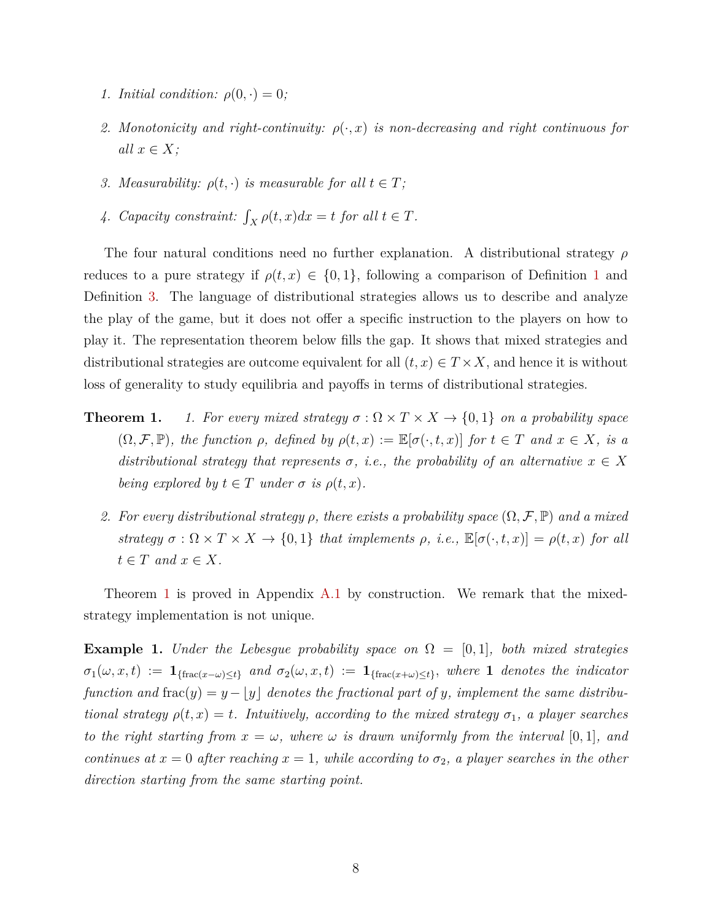- *1. Initial condition:*  $\rho(0, \cdot) = 0$ *;*
- *2. Monotonicity and right-continuity:*  $\rho(\cdot, x)$  *is non-decreasing and right continuous for*  $all x \in X;$
- *3. Measurability:*  $\rho(t, \cdot)$  *is measurable for all*  $t \in T$ *;*
- 4. *Capacity constraint:*  $\int_X \rho(t, x) dx = t$  *for all*  $t \in T$ *.*

The four natural conditions need no further explanation. A distributional strategy *ρ* reduces to a pure strategy if  $\rho(t, x) \in \{0, 1\}$  $\rho(t, x) \in \{0, 1\}$  $\rho(t, x) \in \{0, 1\}$ , following a comparison of Definition 1 and Definition [3.](#page-8-4) The language of distributional strategies allows us to describe and analyze the play of the game, but it does not offer a specific instruction to the players on how to play it. The representation theorem below fills the gap. It shows that mixed strategies and distributional strategies are outcome equivalent for all  $(t, x) \in T \times X$ , and hence it is without loss of generality to study equilibria and payoffs in terms of distributional strategies.

- <span id="page-9-0"></span>**Theorem 1.** *1. For every mixed strategy*  $\sigma : \Omega \times T \times X \rightarrow \{0, 1\}$  *on a probability space*  $(\Omega, \mathcal{F}, \mathbb{P})$ *, the function*  $\rho$ *, defined by*  $\rho(t, x) := \mathbb{E}[\sigma(\cdot, t, x)]$  *for*  $t \in T$  *and*  $x \in X$ *, is a distributional strategy that represents*  $\sigma$ , *i.e.*, the probability of an alternative  $x \in X$ *being explored by*  $t \in T$  *under*  $\sigma$  *is*  $\rho(t, x)$ *.* 
	- *2.* For every distributional strategy  $\rho$ , there exists a probability space  $(\Omega, \mathcal{F}, \mathbb{P})$  and a mixed *strategy*  $\sigma : \Omega \times T \times X \to \{0, 1\}$  *that implements*  $\rho$ *, i.e.,*  $\mathbb{E}[\sigma(\cdot, t, x)] = \rho(t, x)$  *for all*  $t \in T$  *and*  $x \in X$ *.*

Theorem [1](#page-9-0) is proved in Appendix [A.1](#page-29-1) by construction. We remark that the mixedstrategy implementation is not unique.

**Example 1.** *Under the Lebesgue probability space on*  $\Omega = [0, 1]$ *, both mixed strategies*  $\sigma_1(\omega, x, t) := \mathbf{1}_{\{\text{frac}(\omega, t) \leq t\}}$  and  $\sigma_2(\omega, x, t) := \mathbf{1}_{\{\text{frac}(\omega, t) \leq t\}}$ , where **1** *denotes the indicator function and*  $frac(y) = y - y$  *denotes the fractional part of y, implement the same distributional strategy*  $\rho(t, x) = t$ *. Intuitively, according to the mixed strategy*  $\sigma_1$ *, a player searches to the right starting from*  $x = \omega$ *, where*  $\omega$  *is drawn uniformly from the interval* [0,1], and *continues at*  $x = 0$  *after reaching*  $x = 1$ *, while according to*  $\sigma_2$ *, a player searches in the other direction starting from the same starting point.*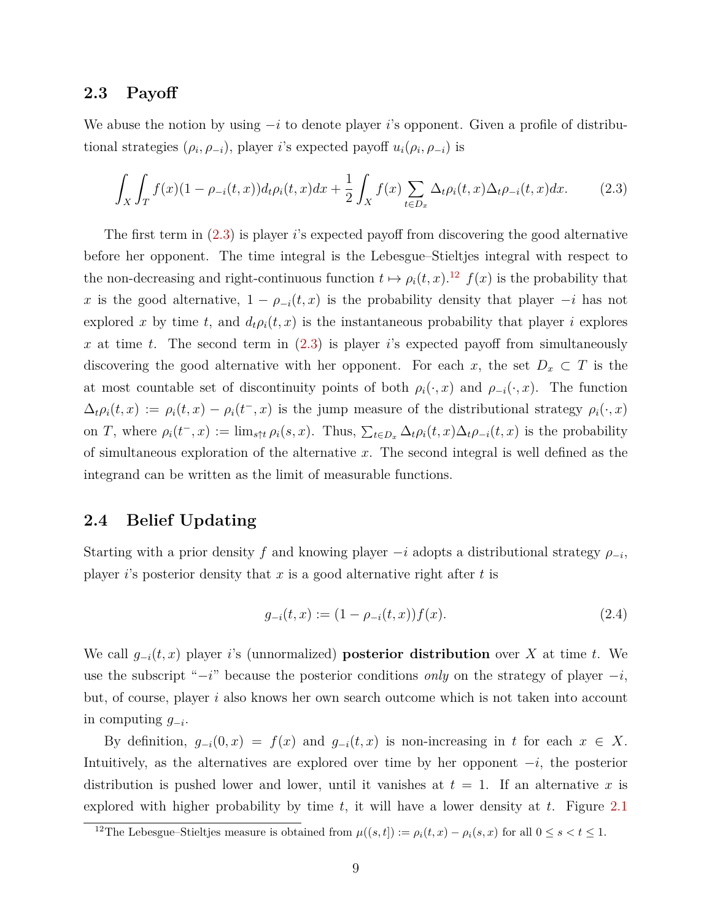### <span id="page-10-0"></span>**2.3 Payoff**

We abuse the notion by using −*i* to denote player *i*'s opponent. Given a profile of distributional strategies  $(\rho_i, \rho_{-i})$ , player *i*'s expected payoff  $u_i(\rho_i, \rho_{-i})$  is

<span id="page-10-2"></span>
$$
\int_{X} \int_{T} f(x)(1 - \rho_{-i}(t, x)) d_{t} \rho_{i}(t, x) dx + \frac{1}{2} \int_{X} f(x) \sum_{t \in D_{x}} \Delta_{t} \rho_{i}(t, x) \Delta_{t} \rho_{-i}(t, x) dx.
$$
 (2.3)

The first term in [\(2.3\)](#page-10-2) is player *i*'s expected payoff from discovering the good alternative before her opponent. The time integral is the Lebesgue–Stieltjes integral with respect to the non-decreasing and right-continuous function  $t \mapsto \rho_i(t, x)$ .<sup>[12](#page-10-3)</sup>  $f(x)$  is the probability that *x* is the good alternative,  $1 - \rho_{-i}(t, x)$  is the probability density that player  $-i$  has not explored x by time t, and  $d_t \rho_i(t, x)$  is the instantaneous probability that player i explores *x* at time *t*. The second term in [\(2.3\)](#page-10-2) is player *i*'s expected payoff from simultaneously discovering the good alternative with her opponent. For each *x*, the set  $D_x \subset T$  is the at most countable set of discontinuity points of both  $\rho_i(\cdot, x)$  and  $\rho_{-i}(\cdot, x)$ . The function  $\Delta_t \rho_i(t, x) := \rho_i(t, x) - \rho_i(t^-, x)$  is the jump measure of the distributional strategy  $\rho_i(\cdot, x)$ on T, where  $\rho_i(t^-,x) := \lim_{s \uparrow t} \rho_i(s,x)$ . Thus,  $\sum_{t \in D_x} \Delta_t \rho_i(t,x) \Delta_t \rho_{-i}(t,x)$  is the probability of simultaneous exploration of the alternative *x*. The second integral is well defined as the integrand can be written as the limit of measurable functions.

## <span id="page-10-1"></span>**2.4 Belief Updating**

Starting with a prior density *f* and knowing player  $-i$  adopts a distributional strategy  $\rho_{-i}$ , player *i*'s posterior density that *x* is a good alternative right after *t* is

<span id="page-10-4"></span>
$$
g_{-i}(t,x) := (1 - \rho_{-i}(t,x))f(x). \tag{2.4}
$$

We call  $g_{-i}(t, x)$  player *i*'s (unnormalized) **posterior distribution** over *X* at time *t*. We use the subscript "−*i*" because the posterior conditions *only* on the strategy of player −*i*, but, of course, player *i* also knows her own search outcome which is not taken into account in computing *g*<sup>−</sup>*<sup>i</sup>* .

By definition,  $g_{-i}(0, x) = f(x)$  and  $g_{-i}(t, x)$  is non-increasing in *t* for each  $x \in X$ . Intuitively, as the alternatives are explored over time by her opponent −*i*, the posterior distribution is pushed lower and lower, until it vanishes at  $t = 1$ . If an alternative x is explored with higher probability by time *t*, it will have a lower density at *t*. Figure [2.1](#page-11-2)

<span id="page-10-3"></span><sup>&</sup>lt;sup>12</sup>The Lebesgue–Stieltjes measure is obtained from  $\mu((s,t]) := \rho_i(t,x) - \rho_i(s,x)$  for all  $0 \le s < t \le 1$ .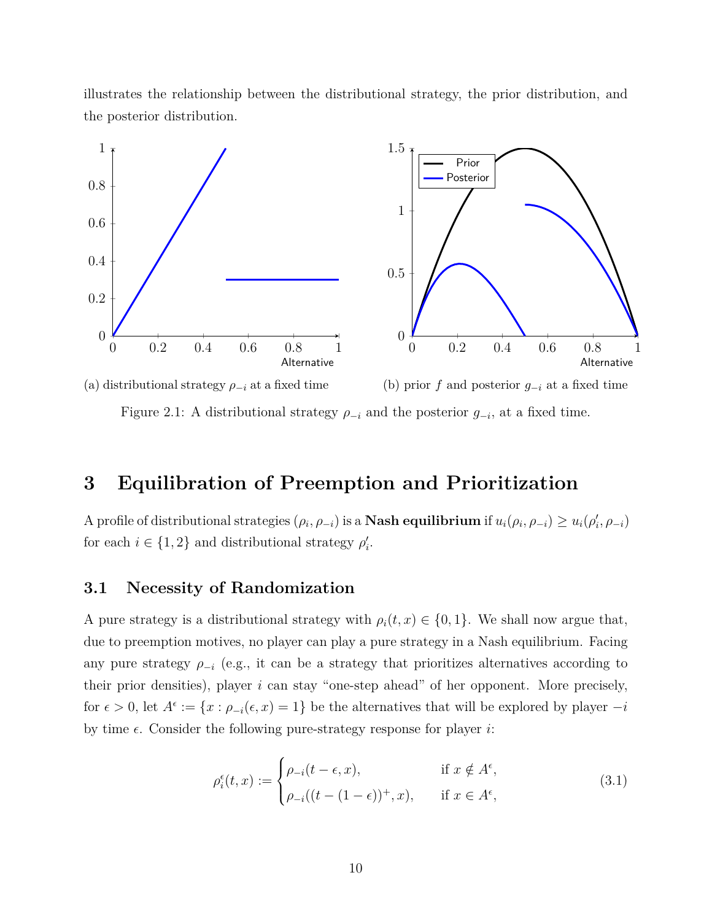illustrates the relationship between the distributional strategy, the prior distribution, and the posterior distribution.

<span id="page-11-2"></span>

Figure 2.1: A distributional strategy  $\rho_{-i}$  and the posterior  $g_{-i}$ , at a fixed time.

## <span id="page-11-0"></span>**3 Equilibration of Preemption and Prioritization**

A profile of distributional strategies  $(\rho_i, \rho_{-i})$  is a **Nash equilibrium** if  $u_i(\rho_i, \rho_{-i}) \geq u_i(\rho'_i, \rho_{-i})$ for each  $i \in \{1, 2\}$  and distributional strategy  $\rho'_i$ .

## <span id="page-11-1"></span>**3.1 Necessity of Randomization**

A pure strategy is a distributional strategy with  $\rho_i(t, x) \in \{0, 1\}$ . We shall now argue that, due to preemption motives, no player can play a pure strategy in a Nash equilibrium. Facing any pure strategy  $\rho_{-i}$  (e.g., it can be a strategy that prioritizes alternatives according to their prior densities), player *i* can stay "one-step ahead" of her opponent. More precisely, for  $\epsilon > 0$ , let  $A^{\epsilon} := \{x : \rho_{-i}(\epsilon, x) = 1\}$  be the alternatives that will be explored by player  $-i$ by time  $\epsilon$ . Consider the following pure-strategy response for player *i*:

<span id="page-11-3"></span>
$$
\rho_i^{\epsilon}(t,x) := \begin{cases} \rho_{-i}(t-\epsilon,x), & \text{if } x \notin A^{\epsilon}, \\ \rho_{-i}((t-(1-\epsilon))^+,x), & \text{if } x \in A^{\epsilon}, \end{cases}
$$
\n(3.1)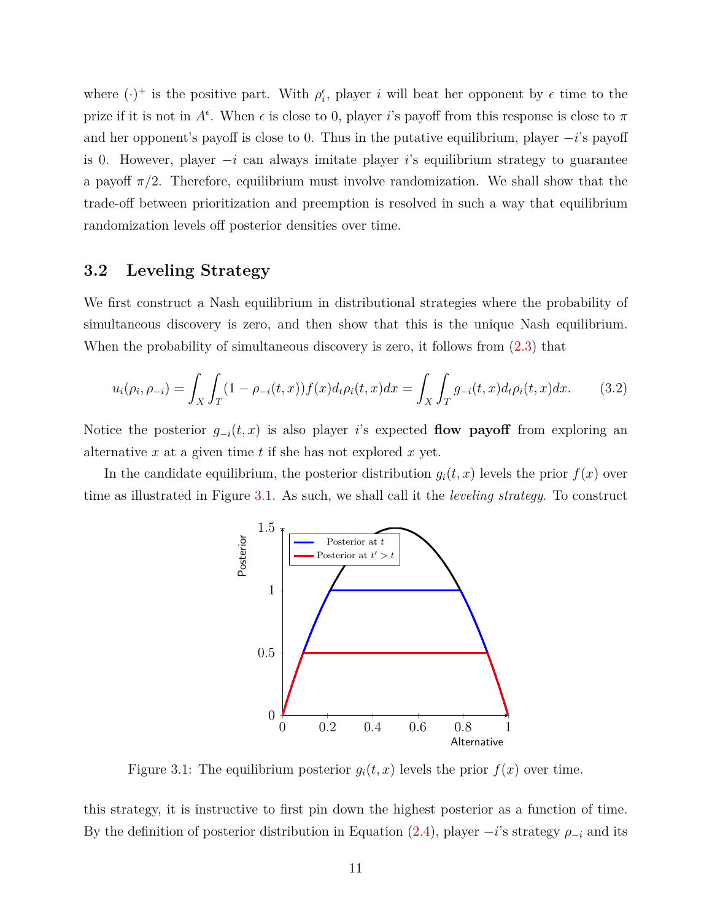where  $(\cdot)^+$  is the positive part. With  $\rho_i^{\epsilon}$ , player *i* will beat her opponent by  $\epsilon$  time to the prize if it is not in  $A^{\epsilon}$ . When  $\epsilon$  is close to 0, player *i*'s payoff from this response is close to  $\pi$ and her opponent's payoff is close to 0. Thus in the putative equilibrium, player −*i*'s payoff is 0. However, player −*i* can always imitate player *i*'s equilibrium strategy to guarantee a payoff  $\pi/2$ . Therefore, equilibrium must involve randomization. We shall show that the trade-off between prioritization and preemption is resolved in such a way that equilibrium randomization levels off posterior densities over time.

## <span id="page-12-0"></span>**3.2 Leveling Strategy**

We first construct a Nash equilibrium in distributional strategies where the probability of simultaneous discovery is zero, and then show that this is the unique Nash equilibrium. When the probability of simultaneous discovery is zero, it follows from [\(2.3\)](#page-10-2) that

$$
u_i(\rho_i, \rho_{-i}) = \int_X \int_T (1 - \rho_{-i}(t, x)) f(x) d_t \rho_i(t, x) dx = \int_X \int_T g_{-i}(t, x) d_t \rho_i(t, x) dx.
$$
 (3.2)

Notice the posterior  $g_{-i}(t, x)$  is also player *i*'s expected **flow payoff** from exploring an alternative *x* at a given time *t* if she has not explored *x* yet.

<span id="page-12-1"></span>In the candidate equilibrium, the posterior distribution  $q_i(t, x)$  levels the prior  $f(x)$  over time as illustrated in Figure [3.1.](#page-12-1) As such, we shall call it the *leveling strategy*. To construct

<span id="page-12-2"></span>

Figure 3.1: The equilibrium posterior  $g_i(t, x)$  levels the prior  $f(x)$  over time.

this strategy, it is instructive to first pin down the highest posterior as a function of time. By the definition of posterior distribution in Equation [\(2.4\)](#page-10-4), player  $-i$ 's strategy  $\rho_{-i}$  and its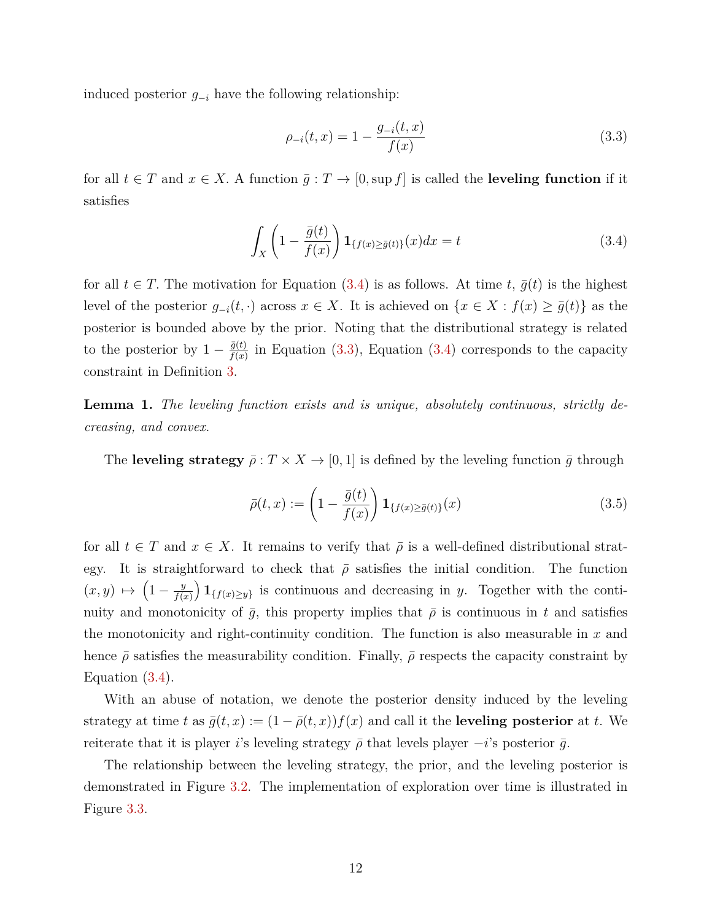induced posterior *g*<sup>−</sup>*<sup>i</sup>* have the following relationship:

<span id="page-13-2"></span><span id="page-13-1"></span>
$$
\rho_{-i}(t,x) = 1 - \frac{g_{-i}(t,x)}{f(x)}\tag{3.3}
$$

for all  $t \in T$  and  $x \in X$ . A function  $\bar{g}: T \to [0, \sup f]$  is called the **leveling function** if it satisfies

$$
\int_{X} \left(1 - \frac{\bar{g}(t)}{f(x)}\right) \mathbf{1}_{\{f(x) \ge \bar{g}(t)\}}(x) dx = t \tag{3.4}
$$

for all  $t \in T$ . The motivation for Equation [\(3.4\)](#page-13-1) is as follows. At time  $t, \bar{g}(t)$  is the highest level of the posterior  $g_{-i}(t, \cdot)$  across  $x \in X$ . It is achieved on  $\{x \in X : f(x) \ge \overline{g}(t)\}\)$  as the posterior is bounded above by the prior. Noting that the distributional strategy is related to the posterior by  $1 - \frac{\bar{g}(t)}{f(x)}$  $\frac{g(t)}{f(x)}$  in Equation [\(3.3\)](#page-13-2), Equation [\(3.4\)](#page-13-1) corresponds to the capacity constraint in Definition [3.](#page-8-4)

<span id="page-13-0"></span>**Lemma 1.** *The leveling function exists and is unique, absolutely continuous, strictly decreasing, and convex.*

The **leveling strategy**  $\bar{\rho}: T \times X \to [0,1]$  is defined by the leveling function  $\bar{g}$  through

<span id="page-13-3"></span>
$$
\bar{\rho}(t,x) := \left(1 - \frac{\bar{g}(t)}{f(x)}\right) \mathbf{1}_{\{f(x) \ge \bar{g}(t)\}}(x) \tag{3.5}
$$

for all  $t \in T$  and  $x \in X$ . It remains to verify that  $\overline{\rho}$  is a well-defined distributional strategy. It is straightforward to check that  $\bar{\rho}$  satisfies the initial condition. The function  $(x, y) \mapsto \left(1 - \frac{y}{f(x)}\right)$ *f*(*x*)  $\left( \int_{f(x) \geq y} \right)$  is continuous and decreasing in *y*. Together with the continuity and monotonicity of  $\bar{g}$ , this property implies that  $\bar{\rho}$  is continuous in t and satisfies the monotonicity and right-continuity condition. The function is also measurable in *x* and hence  $\bar{\rho}$  satisfies the measurability condition. Finally,  $\bar{\rho}$  respects the capacity constraint by Equation [\(3.4\)](#page-13-1).

With an abuse of notation, we denote the posterior density induced by the leveling strategy at time *t* as  $\bar{g}(t, x) := (1 - \bar{\rho}(t, x)) f(x)$  and call it the **leveling posterior** at *t*. We reiterate that it is player *i*'s leveling strategy  $\bar{\rho}$  that levels player  $-i$ 's posterior  $\bar{g}$ .

The relationship between the leveling strategy, the prior, and the leveling posterior is demonstrated in Figure [3.2.](#page-14-0) The implementation of exploration over time is illustrated in Figure [3.3.](#page-14-1)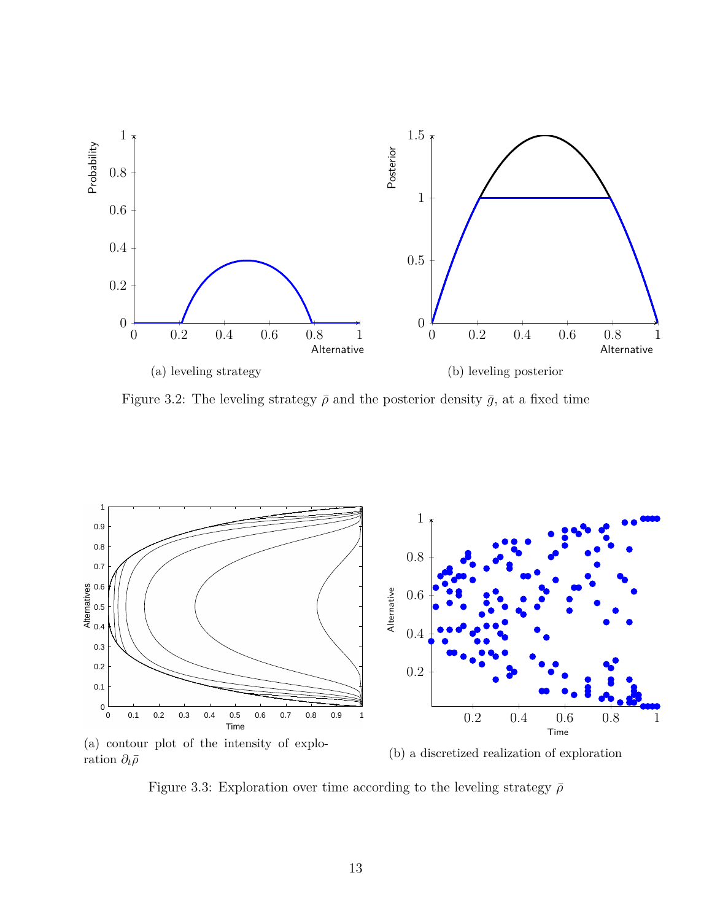<span id="page-14-0"></span>

Figure 3.2: The leveling strategy  $\bar{\rho}$  and the posterior density  $\bar{g}$ , at a fixed time

<span id="page-14-1"></span>

ration  $\partial_t\bar{\rho}$ 

(b) a discretized realization of exploration

Figure 3.3: Exploration over time according to the leveling strategy  $\bar{\rho}$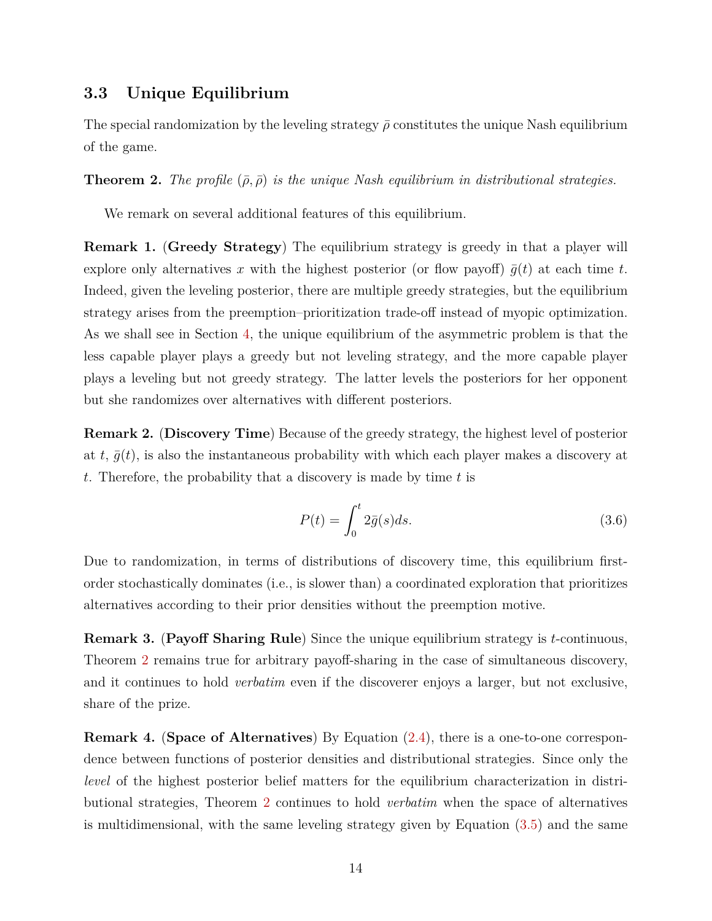## <span id="page-15-0"></span>**3.3 Unique Equilibrium**

The special randomization by the leveling strategy  $\bar{\rho}$  constitutes the unique Nash equilibrium of the game.

<span id="page-15-1"></span>**Theorem 2.** The profile  $(\bar{\rho}, \bar{\rho})$  is the unique Nash equilibrium in distributional strategies.

We remark on several additional features of this equilibrium.

**Remark 1.** (**Greedy Strategy**) The equilibrium strategy is greedy in that a player will explore only alternatives x with the highest posterior (or flow payoff)  $\bar{q}(t)$  at each time t. Indeed, given the leveling posterior, there are multiple greedy strategies, but the equilibrium strategy arises from the preemption–prioritization trade-off instead of myopic optimization. As we shall see in Section [4,](#page-17-1) the unique equilibrium of the asymmetric problem is that the less capable player plays a greedy but not leveling strategy, and the more capable player plays a leveling but not greedy strategy. The latter levels the posteriors for her opponent but she randomizes over alternatives with different posteriors.

**Remark 2.** (**Discovery Time**) Because of the greedy strategy, the highest level of posterior at  $t$ ,  $\bar{q}(t)$ , is also the instantaneous probability with which each player makes a discovery at *t*. Therefore, the probability that a discovery is made by time *t* is

$$
P(t) = \int_0^t 2\bar{g}(s)ds.
$$
\n(3.6)

Due to randomization, in terms of distributions of discovery time, this equilibrium firstorder stochastically dominates (i.e., is slower than) a coordinated exploration that prioritizes alternatives according to their prior densities without the preemption motive.

<span id="page-15-2"></span>**Remark 3.** (**Payoff Sharing Rule**) Since the unique equilibrium strategy is *t*-continuous, Theorem [2](#page-15-1) remains true for arbitrary payoff-sharing in the case of simultaneous discovery, and it continues to hold *verbatim* even if the discoverer enjoys a larger, but not exclusive, share of the prize.

**Remark 4.** (**Space of Alternatives**) By Equation [\(2.4\)](#page-10-4), there is a one-to-one correspondence between functions of posterior densities and distributional strategies. Since only the *level* of the highest posterior belief matters for the equilibrium characterization in distributional strategies, Theorem [2](#page-15-1) continues to hold *verbatim* when the space of alternatives is multidimensional, with the same leveling strategy given by Equation [\(3.5\)](#page-13-3) and the same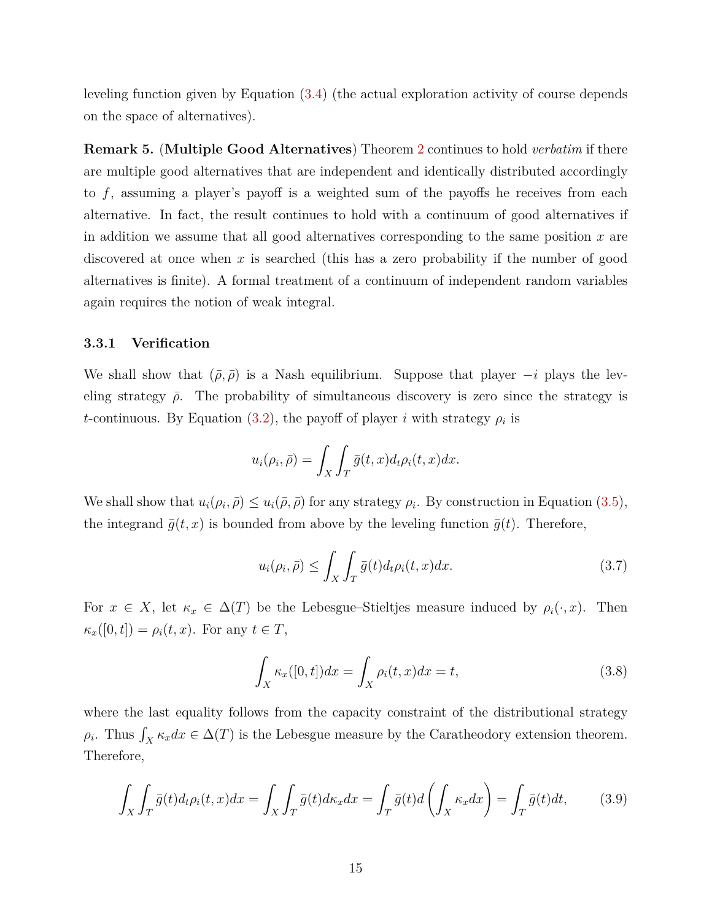leveling function given by Equation [\(3.4\)](#page-13-1) (the actual exploration activity of course depends on the space of alternatives).

<span id="page-16-3"></span>**Remark 5.** (**Multiple Good Alternatives**) Theorem [2](#page-15-1) continues to hold *verbatim* if there are multiple good alternatives that are independent and identically distributed accordingly to *f*, assuming a player's payoff is a weighted sum of the payoffs he receives from each alternative. In fact, the result continues to hold with a continuum of good alternatives if in addition we assume that all good alternatives corresponding to the same position *x* are discovered at once when *x* is searched (this has a zero probability if the number of good alternatives is finite). A formal treatment of a continuum of independent random variables again requires the notion of weak integral.

#### <span id="page-16-0"></span>**3.3.1 Verification**

We shall show that  $(\bar{\rho}, \bar{\rho})$  is a Nash equilibrium. Suppose that player  $-i$  plays the leveling strategy  $\bar{\rho}$ . The probability of simultaneous discovery is zero since the strategy is *t*-continuous. By Equation [\(3.2\)](#page-12-2), the payoff of player *i* with strategy  $\rho_i$  is

$$
u_i(\rho_i, \bar{\rho}) = \int_X \int_T \bar{g}(t, x) d_t \rho_i(t, x) dx.
$$

We shall show that  $u_i(\rho_i, \bar{\rho}) \leq u_i(\bar{\rho}, \bar{\rho})$  for any strategy  $\rho_i$ . By construction in Equation [\(3.5\)](#page-13-3), the integrand  $\bar{g}(t, x)$  is bounded from above by the leveling function  $\bar{g}(t)$ . Therefore,

<span id="page-16-1"></span>
$$
u_i(\rho_i, \bar{\rho}) \le \int_X \int_T \bar{g}(t) d_t \rho_i(t, x) dx.
$$
\n(3.7)

For  $x \in X$ , let  $\kappa_x \in \Delta(T)$  be the Lebesgue–Stieltjes measure induced by  $\rho_i(\cdot, x)$ . Then  $\kappa_x([0,t]) = \rho_i(t,x)$ . For any  $t \in T$ ,

$$
\int_{X} \kappa_x([0,t])dx = \int_{X} \rho_i(t,x)dx = t,\tag{3.8}
$$

where the last equality follows from the capacity constraint of the distributional strategy  $\rho_i$ . Thus  $\int_X \kappa_x dx \in \Delta(T)$  is the Lebesgue measure by the Caratheodory extension theorem. Therefore,

<span id="page-16-2"></span>
$$
\int_{X} \int_{T} \bar{g}(t) d_{t} \rho_{i}(t, x) dx = \int_{X} \int_{T} \bar{g}(t) d\kappa_{x} dx = \int_{T} \bar{g}(t) d\left(\int_{X} \kappa_{x} dx\right) = \int_{T} \bar{g}(t) dt,
$$
\n(3.9)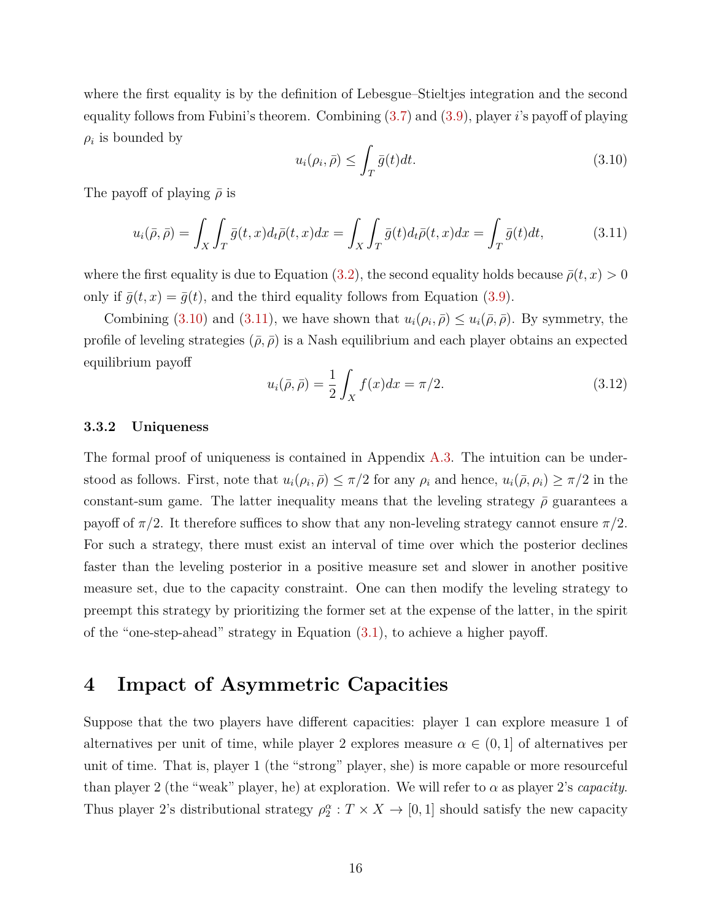where the first equality is by the definition of Lebesgue–Stieltjes integration and the second equality follows from Fubini's theorem. Combining [\(3.7\)](#page-16-1) and [\(3.9\)](#page-16-2), player *i*'s payoff of playing  $\rho_i$  is bounded by

<span id="page-17-3"></span><span id="page-17-2"></span>
$$
u_i(\rho_i, \bar{\rho}) \le \int_T \bar{g}(t)dt. \tag{3.10}
$$

The payoff of playing  $\bar{\rho}$  is

$$
u_i(\bar{\rho}, \bar{\rho}) = \int_X \int_T \bar{g}(t, x) d_t \bar{\rho}(t, x) dx = \int_X \int_T \bar{g}(t) d_t \bar{\rho}(t, x) dx = \int_T \bar{g}(t) dt,
$$
\n(3.11)

where the first equality is due to Equation [\(3.2\)](#page-12-2), the second equality holds because  $\bar{\rho}(t, x) > 0$ only if  $\bar{g}(t, x) = \bar{g}(t)$ , and the third equality follows from Equation [\(3.9\)](#page-16-2).

Combining [\(3.10\)](#page-17-2) and [\(3.11\)](#page-17-3), we have shown that  $u_i(\rho_i, \bar{\rho}) \leq u_i(\bar{\rho}, \bar{\rho})$ . By symmetry, the profile of leveling strategies  $(\bar{\rho}, \bar{\rho})$  is a Nash equilibrium and each player obtains an expected equilibrium payoff

<span id="page-17-4"></span>
$$
u_i(\bar{\rho}, \bar{\rho}) = \frac{1}{2} \int_X f(x) dx = \pi/2.
$$
 (3.12)

#### <span id="page-17-0"></span>**3.3.2 Uniqueness**

The formal proof of uniqueness is contained in Appendix [A.3.](#page-30-0) The intuition can be understood as follows. First, note that  $u_i(\rho_i, \bar{\rho}) \leq \pi/2$  for any  $\rho_i$  and hence,  $u_i(\bar{\rho}, \rho_i) \geq \pi/2$  in the constant-sum game. The latter inequality means that the leveling strategy  $\bar{\rho}$  guarantees a payoff of  $\pi/2$ . It therefore suffices to show that any non-leveling strategy cannot ensure  $\pi/2$ . For such a strategy, there must exist an interval of time over which the posterior declines faster than the leveling posterior in a positive measure set and slower in another positive measure set, due to the capacity constraint. One can then modify the leveling strategy to preempt this strategy by prioritizing the former set at the expense of the latter, in the spirit of the "one-step-ahead" strategy in Equation [\(3.1\)](#page-11-3), to achieve a higher payoff.

## <span id="page-17-1"></span>**4 Impact of Asymmetric Capacities**

Suppose that the two players have different capacities: player 1 can explore measure 1 of alternatives per unit of time, while player 2 explores measure  $\alpha \in (0,1]$  of alternatives per unit of time. That is, player 1 (the "strong" player, she) is more capable or more resourceful than player 2 (the "weak" player, he) at exploration. We will refer to  $\alpha$  as player 2's *capacity*. Thus player 2's distributional strategy  $\rho_2^{\alpha}: T \times X \to [0,1]$  should satisfy the new capacity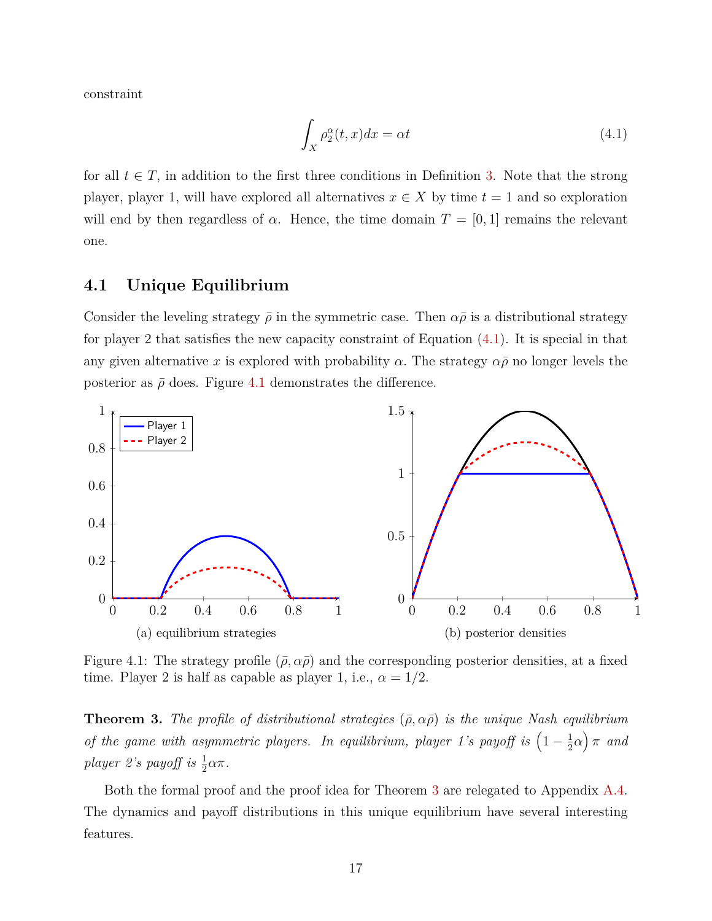constraint

<span id="page-18-2"></span>
$$
\int_{X} \rho_2^{\alpha}(t, x) dx = \alpha t \tag{4.1}
$$

for all  $t \in T$ , in addition to the first three conditions in Definition [3.](#page-8-4) Note that the strong player, player 1, will have explored all alternatives  $x \in X$  by time  $t = 1$  and so exploration will end by then regardless of  $\alpha$ . Hence, the time domain  $T = [0, 1]$  remains the relevant one.

### <span id="page-18-0"></span>**4.1 Unique Equilibrium**

Consider the leveling strategy  $\bar{\rho}$  in the symmetric case. Then  $\alpha\bar{\rho}$  is a distributional strategy for player 2 that satisfies the new capacity constraint of Equation [\(4.1\)](#page-18-2). It is special in that any given alternative x is explored with probability  $\alpha$ . The strategy  $\alpha \bar{\rho}$  no longer levels the posterior as  $\bar{\rho}$  does. Figure [4.1](#page-18-3) demonstrates the difference.

<span id="page-18-3"></span>

Figure 4.1: The strategy profile  $(\bar{\rho}, \alpha \bar{\rho})$  and the corresponding posterior densities, at a fixed time. Player 2 is half as capable as player 1, i.e.,  $\alpha = 1/2$ .

<span id="page-18-1"></span>**Theorem 3.** The profile of distributional strategies  $(\bar{\rho}, \alpha \bar{\rho})$  is the unique Nash equilibrium of the game with asymmetric players. In equilibrium, player 1's payoff is  $\left(1-\frac{1}{2}\right)$  $(\frac{1}{2}\alpha)$   $\pi$  *and player 2's payoff is*  $\frac{1}{2}\alpha\pi$ .

Both the formal proof and the proof idea for Theorem [3](#page-18-1) are relegated to Appendix [A.4.](#page-36-0) The dynamics and payoff distributions in this unique equilibrium have several interesting features.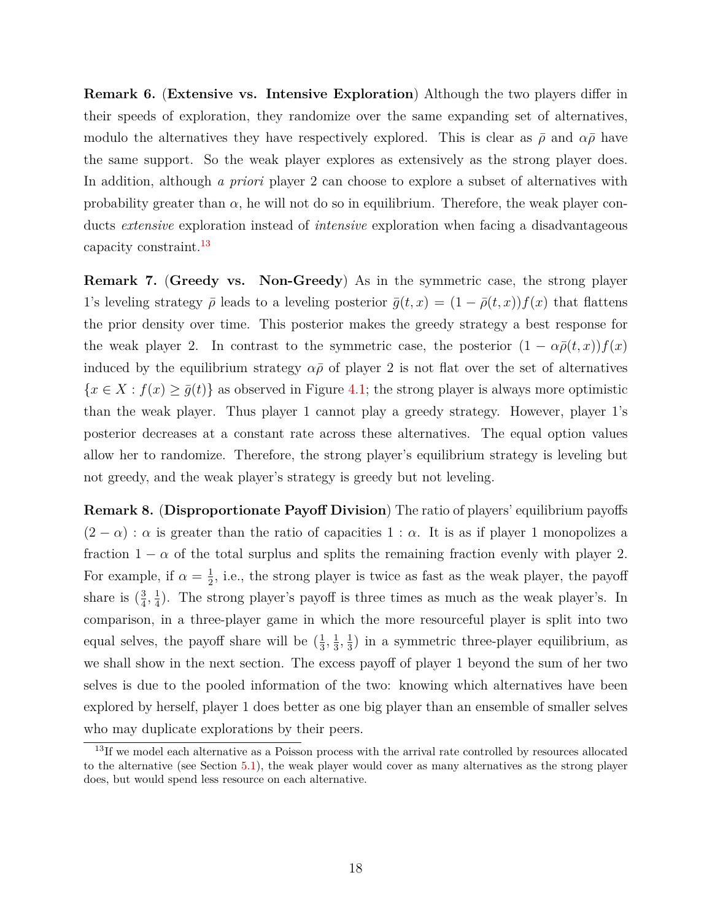**Remark 6.** (**Extensive vs. Intensive Exploration**) Although the two players differ in their speeds of exploration, they randomize over the same expanding set of alternatives, modulo the alternatives they have respectively explored. This is clear as  $\bar{\rho}$  and  $\alpha\bar{\rho}$  have the same support. So the weak player explores as extensively as the strong player does. In addition, although *a priori* player 2 can choose to explore a subset of alternatives with probability greater than  $\alpha$ , he will not do so in equilibrium. Therefore, the weak player conducts *extensive* exploration instead of *intensive* exploration when facing a disadvantageous capacity constraint.<sup>[13](#page-19-0)</sup>

**Remark 7.** (**Greedy vs. Non-Greedy**) As in the symmetric case, the strong player 1's leveling strategy  $\bar{\rho}$  leads to a leveling posterior  $\bar{g}(t,x) = (1 - \bar{\rho}(t,x))f(x)$  that flattens the prior density over time. This posterior makes the greedy strategy a best response for the weak player 2. In contrast to the symmetric case, the posterior  $(1 - \alpha \bar{\rho}(t, x)) f(x)$ induced by the equilibrium strategy  $\alpha \bar{\rho}$  of player 2 is not flat over the set of alternatives  ${x \in X : f(x) \ge \overline{g}(t)}$  as observed in Figure [4.1;](#page-18-3) the strong player is always more optimistic than the weak player. Thus player 1 cannot play a greedy strategy. However, player 1's posterior decreases at a constant rate across these alternatives. The equal option values allow her to randomize. Therefore, the strong player's equilibrium strategy is leveling but not greedy, and the weak player's strategy is greedy but not leveling.

<span id="page-19-1"></span>**Remark 8.** (**Disproportionate Payoff Division**) The ratio of players' equilibrium payoffs  $(2 - \alpha)$ :  $\alpha$  is greater than the ratio of capacities 1:  $\alpha$ . It is as if player 1 monopolizes a fraction  $1 - \alpha$  of the total surplus and splits the remaining fraction evenly with player 2. For example, if  $\alpha = \frac{1}{2}$  $\frac{1}{2}$ , i.e., the strong player is twice as fast as the weak player, the payoff share is  $\left(\frac{3}{4}\right)$  $\frac{3}{4}, \frac{1}{4}$  $\frac{1}{4}$ ). The strong player's payoff is three times as much as the weak player's. In comparison, in a three-player game in which the more resourceful player is split into two equal selves, the payoff share will be  $(\frac{1}{3})$  $\frac{1}{3}, \frac{1}{3}$  $\frac{1}{3}, \frac{1}{3}$  $\frac{1}{3}$ ) in a symmetric three-player equilibrium, as we shall show in the next section. The excess payoff of player 1 beyond the sum of her two selves is due to the pooled information of the two: knowing which alternatives have been explored by herself, player 1 does better as one big player than an ensemble of smaller selves who may duplicate explorations by their peers.

<span id="page-19-0"></span><sup>&</sup>lt;sup>13</sup>If we model each alternative as a Poisson process with the arrival rate controlled by resources allocated to the alternative (see Section [5.1\)](#page-21-1), the weak player would cover as many alternatives as the strong player does, but would spend less resource on each alternative.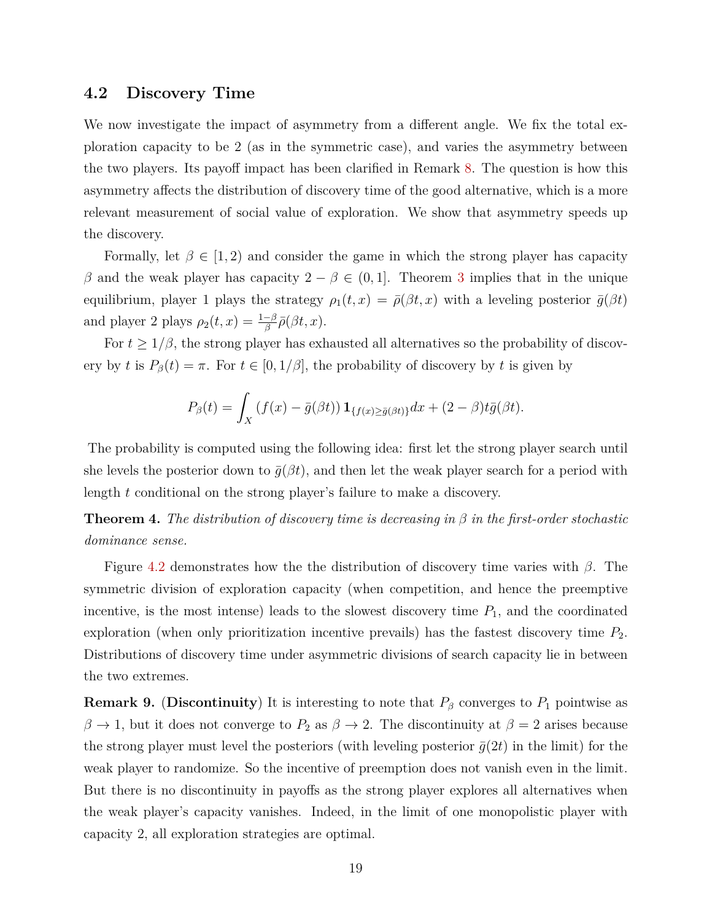### <span id="page-20-0"></span>**4.2 Discovery Time**

We now investigate the impact of asymmetry from a different angle. We fix the total exploration capacity to be 2 (as in the symmetric case), and varies the asymmetry between the two players. Its payoff impact has been clarified in Remark [8.](#page-19-1) The question is how this asymmetry affects the distribution of discovery time of the good alternative, which is a more relevant measurement of social value of exploration. We show that asymmetry speeds up the discovery.

Formally, let  $\beta \in [1, 2)$  and consider the game in which the strong player has capacity *β* and the weak player has capacity  $2 - β \in (0, 1]$ . Theorem [3](#page-18-1) implies that in the unique equilibrium, player 1 plays the strategy  $\rho_1(t, x) = \bar{\rho}(\beta t, x)$  with a leveling posterior  $\bar{g}(\beta t)$ and player 2 plays  $\rho_2(t,x) = \frac{1-\beta}{\beta} \bar{\rho}(\beta t, x)$ *.* 

For  $t \geq 1/\beta$ , the strong player has exhausted all alternatives so the probability of discovery by *t* is  $P_\beta(t) = \pi$ . For  $t \in [0, 1/\beta]$ , the probability of discovery by *t* is given by

$$
P_{\beta}(t) = \int_{X} \left( f(x) - \bar{g}(\beta t) \right) \mathbf{1}_{\{f(x) \ge \bar{g}(\beta t)\}} dx + (2 - \beta) t \bar{g}(\beta t).
$$

The probability is computed using the following idea: first let the strong player search until she levels the posterior down to  $\bar{g}(\beta t)$ , and then let the weak player search for a period with length *t* conditional on the strong player's failure to make a discovery.

<span id="page-20-1"></span>**Theorem 4.** *The distribution of discovery time is decreasing in β in the first-order stochastic dominance sense.*

Figure [4.2](#page-21-2) demonstrates how the the distribution of discovery time varies with *β*. The symmetric division of exploration capacity (when competition, and hence the preemptive incentive, is the most intense) leads to the slowest discovery time  $P_1$ , and the coordinated exploration (when only prioritization incentive prevails) has the fastest discovery time *P*2. Distributions of discovery time under asymmetric divisions of search capacity lie in between the two extremes.

**Remark 9.** (Discontinuity) It is interesting to note that  $P_\beta$  converges to  $P_1$  pointwise as  $\beta \to 1$ , but it does not converge to  $P_2$  as  $\beta \to 2$ . The discontinuity at  $\beta = 2$  arises because the strong player must level the posteriors (with leveling posterior  $\bar{g}(2t)$  in the limit) for the weak player to randomize. So the incentive of preemption does not vanish even in the limit. But there is no discontinuity in payoffs as the strong player explores all alternatives when the weak player's capacity vanishes. Indeed, in the limit of one monopolistic player with capacity 2, all exploration strategies are optimal.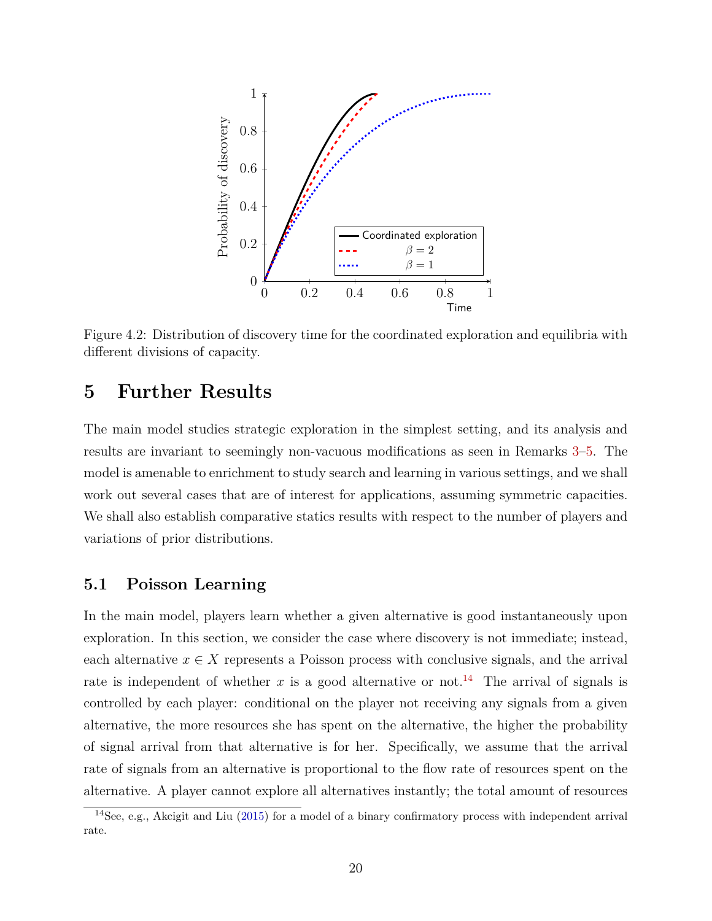<span id="page-21-2"></span>

Figure 4.2: Distribution of discovery time for the coordinated exploration and equilibria with different divisions of capacity.

## <span id="page-21-0"></span>**5 Further Results**

The main model studies strategic exploration in the simplest setting, and its analysis and results are invariant to seemingly non-vacuous modifications as seen in Remarks [3–](#page-15-2)[5.](#page-16-3) The model is amenable to enrichment to study search and learning in various settings, and we shall work out several cases that are of interest for applications, assuming symmetric capacities. We shall also establish comparative statics results with respect to the number of players and variations of prior distributions.

## <span id="page-21-1"></span>**5.1 Poisson Learning**

In the main model, players learn whether a given alternative is good instantaneously upon exploration. In this section, we consider the case where discovery is not immediate; instead, each alternative  $x \in X$  represents a Poisson process with conclusive signals, and the arrival rate is independent of whether  $x$  is a good alternative or not.<sup>[14](#page-21-3)</sup> The arrival of signals is controlled by each player: conditional on the player not receiving any signals from a given alternative, the more resources she has spent on the alternative, the higher the probability of signal arrival from that alternative is for her. Specifically, we assume that the arrival rate of signals from an alternative is proportional to the flow rate of resources spent on the alternative. A player cannot explore all alternatives instantly; the total amount of resources

<span id="page-21-3"></span><sup>&</sup>lt;sup>14</sup>See, e.g., Akcigit and Liu [\(2015\)](#page-27-16) for a model of a binary confirmatory process with independent arrival rate.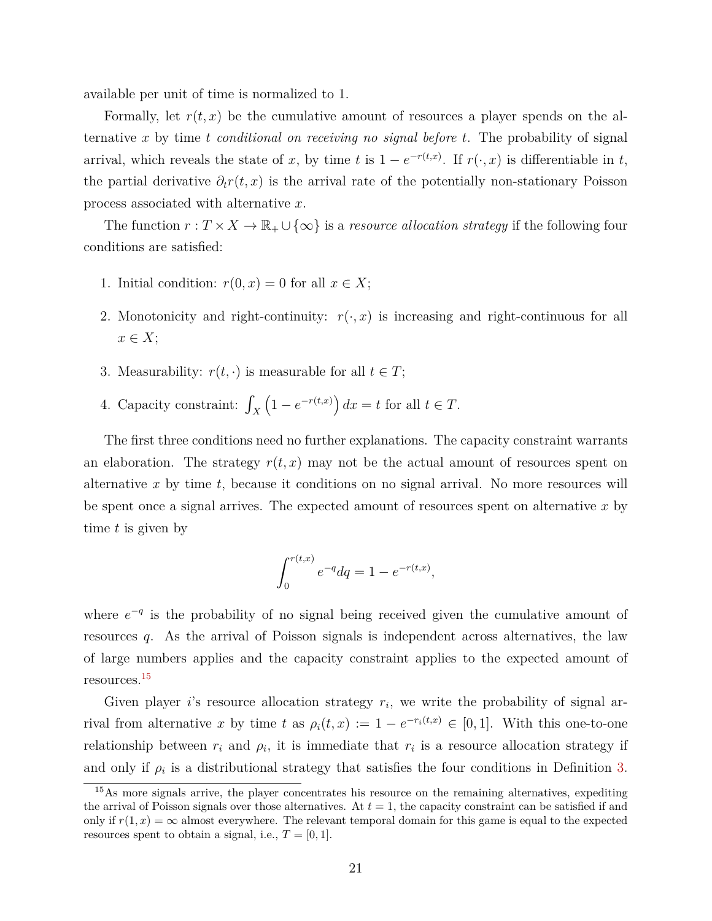available per unit of time is normalized to 1.

Formally, let  $r(t, x)$  be the cumulative amount of resources a player spends on the alternative *x* by time *t conditional on receiving no signal before t*. The probability of signal arrival, which reveals the state of *x*, by time *t* is  $1 - e^{-r(t,x)}$ . If  $r(\cdot, x)$  is differentiable in *t*, the partial derivative  $\partial_t r(t, x)$  is the arrival rate of the potentially non-stationary Poisson process associated with alternative *x*.

The function  $r: T \times X \to \mathbb{R}_+ \cup \{\infty\}$  is a *resource allocation strategy* if the following four conditions are satisfied:

- 1. Initial condition:  $r(0, x) = 0$  for all  $x \in X$ ;
- 2. Monotonicity and right-continuity:  $r(\cdot, x)$  is increasing and right-continuous for all *x* ∈ *X*;
- 3. Measurability:  $r(t, \cdot)$  is measurable for all  $t \in T$ ;
- 4. Capacity constraint:  $\int_X$  $(1 - e^{-r(t,x)}) dx = t$  for all  $t \in T$ .

The first three conditions need no further explanations. The capacity constraint warrants an elaboration. The strategy  $r(t, x)$  may not be the actual amount of resources spent on alternative *x* by time *t*, because it conditions on no signal arrival. No more resources will be spent once a signal arrives. The expected amount of resources spent on alternative *x* by time *t* is given by

$$
\int_0^{r(t,x)} e^{-q} dq = 1 - e^{-r(t,x)},
$$

where  $e^{-q}$  is the probability of no signal being received given the cumulative amount of resources *q*. As the arrival of Poisson signals is independent across alternatives, the law of large numbers applies and the capacity constraint applies to the expected amount of resources.[15](#page-22-0)

Given player *i*'s resource allocation strategy  $r_i$ , we write the probability of signal arrival from alternative *x* by time *t* as  $\rho_i(t, x) := 1 - e^{-r_i(t, x)} \in [0, 1]$ . With this one-to-one relationship between  $r_i$  and  $\rho_i$ , it is immediate that  $r_i$  is a resource allocation strategy if and only if  $\rho_i$  is a distributional strategy that satisfies the four conditions in Definition [3.](#page-8-4)

<span id="page-22-0"></span><sup>&</sup>lt;sup>15</sup>As more signals arrive, the player concentrates his resource on the remaining alternatives, expediting the arrival of Poisson signals over those alternatives. At  $t = 1$ , the capacity constraint can be satisfied if and only if  $r(1, x) = \infty$  almost everywhere. The relevant temporal domain for this game is equal to the expected resources spent to obtain a signal, i.e.,  $T = [0, 1]$ .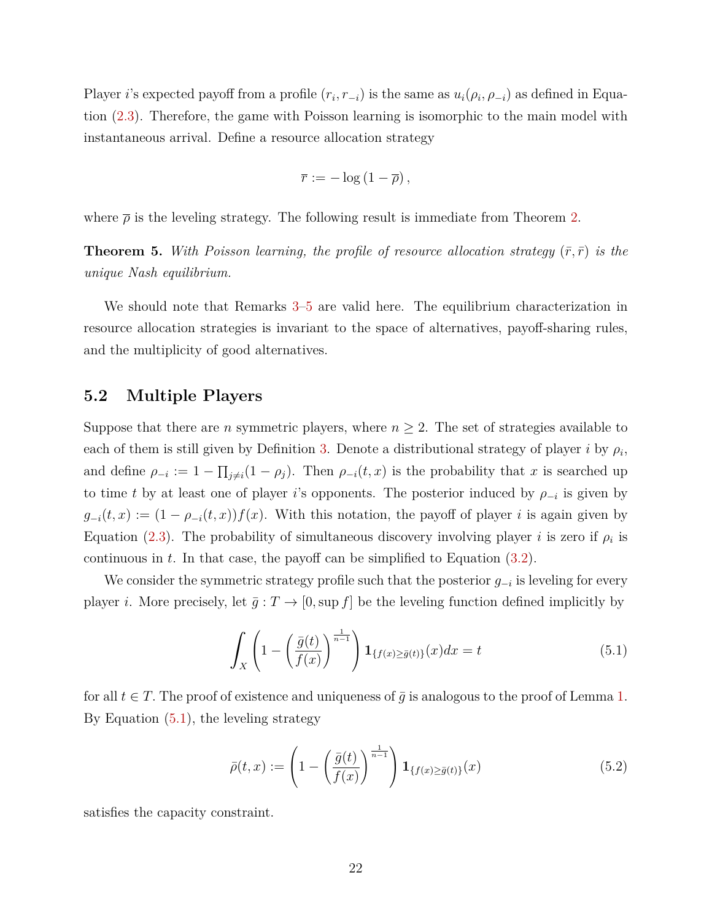Player *i*'s expected payoff from a profile  $(r_i, r_{-i})$  is the same as  $u_i(\rho_i, \rho_{-i})$  as defined in Equation [\(2.3\)](#page-10-2). Therefore, the game with Poisson learning is isomorphic to the main model with instantaneous arrival. Define a resource allocation strategy

$$
\overline{r} := -\log(1-\overline{\rho}),
$$

where  $\bar{\rho}$  is the leveling strategy. The following result is immediate from Theorem [2.](#page-15-1)

**Theorem 5.** With Poisson learning, the profile of resource allocation strategy  $(\bar{r}, \bar{r})$  is the *unique Nash equilibrium.*

We should note that Remarks  $3-5$  $3-5$  are valid here. The equilibrium characterization in resource allocation strategies is invariant to the space of alternatives, payoff-sharing rules, and the multiplicity of good alternatives.

### <span id="page-23-0"></span>**5.2 Multiple Players**

Suppose that there are *n* symmetric players, where  $n \geq 2$ . The set of strategies available to each of them is still given by Definition [3.](#page-8-4) Denote a distributional strategy of player *i* by  $\rho_i$ , and define  $\rho_{-i} := 1 - \prod_{j \neq i} (1 - \rho_j)$ . Then  $\rho_{-i}(t, x)$  is the probability that *x* is searched up to time *t* by at least one of player *i*'s opponents. The posterior induced by  $\rho_{-i}$  is given by  $g_{-i}(t, x) := (1 - \rho_{-i}(t, x)) f(x)$ . With this notation, the payoff of player *i* is again given by Equation [\(2.3\)](#page-10-2). The probability of simultaneous discovery involving player *i* is zero if  $\rho_i$  is continuous in *t*. In that case, the payoff can be simplified to Equation [\(3.2\)](#page-12-2).

We consider the symmetric strategy profile such that the posterior *g*<sup>−</sup>*<sup>i</sup>* is leveling for every player *i*. More precisely, let  $\bar{g}: T \to [0, \sup f]$  be the leveling function defined implicitly by

<span id="page-23-2"></span>
$$
\int_{X} \left(1 - \left(\frac{\bar{g}(t)}{f(x)}\right)^{\frac{1}{n-1}}\right) \mathbf{1}_{\{f(x) \ge \bar{g}(t)\}}(x) dx = t \tag{5.1}
$$

for all  $t \in T$ . The proof of existence and uniqueness of  $\bar{g}$  is analogous to the proof of Lemma [1.](#page-13-0) By Equation [\(5.1\)](#page-23-2), the leveling strategy

$$
\bar{\rho}(t,x) := \left(1 - \left(\frac{\bar{g}(t)}{f(x)}\right)^{\frac{1}{n-1}}\right) \mathbf{1}_{\{f(x) \ge \bar{g}(t)\}}(x) \tag{5.2}
$$

<span id="page-23-1"></span>satisfies the capacity constraint.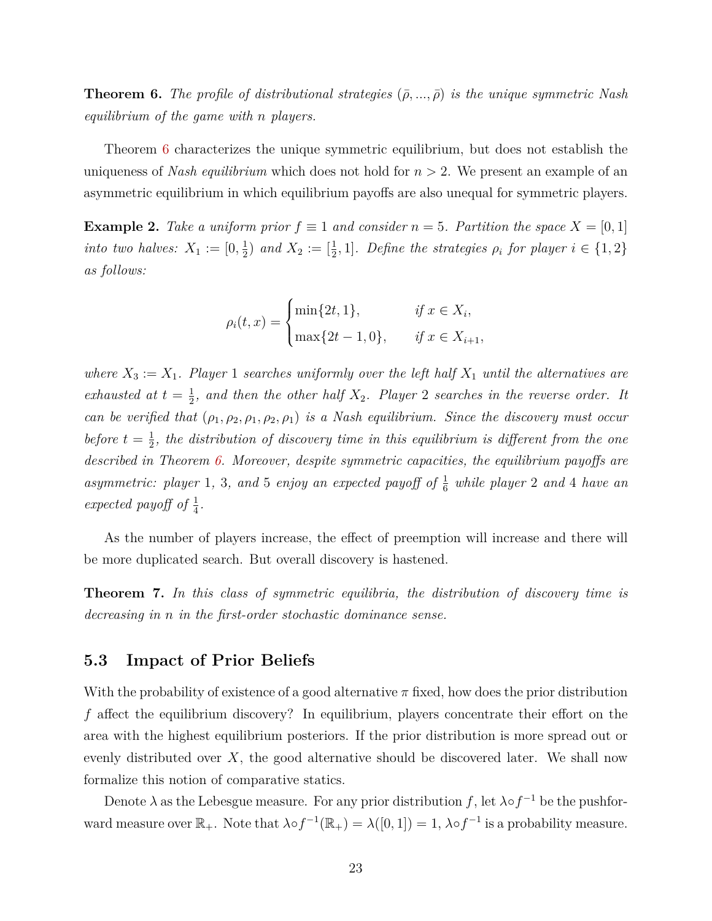**Theorem 6.** The profile of distributional strategies  $(\bar{\rho}, ..., \bar{\rho})$  is the unique symmetric Nash *equilibrium of the game with n players.*

Theorem [6](#page-23-1) characterizes the unique symmetric equilibrium, but does not establish the uniqueness of *Nash equilibrium* which does not hold for *n >* 2. We present an example of an asymmetric equilibrium in which equilibrium payoffs are also unequal for symmetric players.

**Example 2.** Take a uniform prior  $f \equiv 1$  and consider  $n = 5$ . Partition the space  $X = [0, 1]$ *into two halves:*  $X_1 := [0, \frac{1}{2}]$  $\frac{1}{2}$ *)* and  $X_2 := [\frac{1}{2}, 1]$ *. Define the strategies*  $\rho_i$  for player  $i \in \{1, 2\}$ *as follows:*

$$
\rho_i(t, x) = \begin{cases} \min\{2t, 1\}, & \text{if } x \in X_i, \\ \max\{2t - 1, 0\}, & \text{if } x \in X_{i+1}, \end{cases}
$$

*where*  $X_3 := X_1$ *. Player* 1 *searches uniformly over the left half*  $X_1$  *until the alternatives are exhausted at*  $t = \frac{1}{2}$  $\frac{1}{2}$ , and then the other half  $X_2$ . Player 2 searches in the reverse order. It *can be verified that*  $(\rho_1, \rho_2, \rho_1, \rho_2, \rho_1)$  *is a Nash equilibrium. Since the discovery must occur before*  $t = \frac{1}{2}$  $\frac{1}{2}$ , the distribution of discovery time in this equilibrium is different from the one *described in Theorem [6.](#page-23-1) Moreover, despite symmetric capacities, the equilibrium payoffs are asymmetric: player* 1, 3, and 5 *enjoy an expected payoff of*  $\frac{1}{6}$  *while player* 2 *and* 4 *have an* expected payoff of  $\frac{1}{4}$ .

As the number of players increase, the effect of preemption will increase and there will be more duplicated search. But overall discovery is hastened.

<span id="page-24-1"></span>**Theorem 7.** *In this class of symmetric equilibria, the distribution of discovery time is decreasing in n in the first-order stochastic dominance sense.*

### <span id="page-24-0"></span>**5.3 Impact of Prior Beliefs**

With the probability of existence of a good alternative *π* fixed, how does the prior distribution *f* affect the equilibrium discovery? In equilibrium, players concentrate their effort on the area with the highest equilibrium posteriors. If the prior distribution is more spread out or evenly distributed over *X*, the good alternative should be discovered later. We shall now formalize this notion of comparative statics.

Denote  $\lambda$  as the Lebesgue measure. For any prior distribution *f*, let  $\lambda \circ f^{-1}$  be the pushforward measure over  $\mathbb{R}_+$ . Note that  $\lambda \circ f^{-1}(\mathbb{R}_+) = \lambda([0,1]) = 1$ ,  $\lambda \circ f^{-1}$  is a probability measure.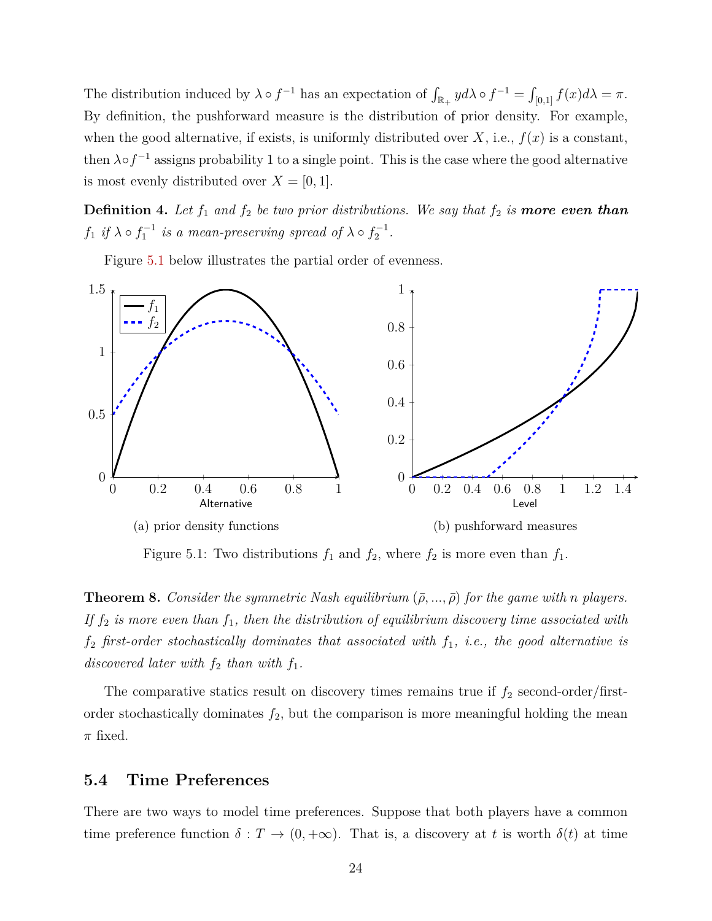The distribution induced by  $\lambda \circ f^{-1}$  has an expectation of  $\int_{\mathbb{R}_+} y d\lambda \circ f^{-1} = \int_{[0,1]} f(x) d\lambda = \pi$ . By definition, the pushforward measure is the distribution of prior density. For example, when the good alternative, if exists, is uniformly distributed over  $X$ , i.e.,  $f(x)$  is a constant, then  $\lambda \circ f^{-1}$  assigns probability 1 to a single point. This is the case where the good alternative is most evenly distributed over  $X = [0, 1]$ .

**Definition 4.** Let  $f_1$  and  $f_2$  be two prior distributions. We say that  $f_2$  is **more even than**  $f_1$  *if*  $\lambda \circ f_1^{-1}$  *is a mean-preserving spread of*  $\lambda \circ f_2^{-1}$ *.* 

Figure [5.1](#page-25-2) below illustrates the partial order of evenness.

<span id="page-25-2"></span>

Figure 5.1: Two distributions  $f_1$  and  $f_2$ , where  $f_2$  is more even than  $f_1$ .

<span id="page-25-1"></span>**Theorem 8.** *Consider the symmetric Nash equilibrium*  $(\bar{\rho}, ..., \bar{\rho})$  *for the game with n players. If f*<sup>2</sup> *is more even than f*1*, then the distribution of equilibrium discovery time associated with f*<sup>2</sup> *first-order stochastically dominates that associated with f*1*, i.e., the good alternative is discovered later with*  $f_2$  *than with*  $f_1$ *.* 

The comparative statics result on discovery times remains true if  $f_2$  second-order/firstorder stochastically dominates  $f_2$ , but the comparison is more meaningful holding the mean *π* fixed.

## <span id="page-25-0"></span>**5.4 Time Preferences**

There are two ways to model time preferences. Suppose that both players have a common time preference function  $\delta : T \to (0, +\infty)$ . That is, a discovery at *t* is worth  $\delta(t)$  at time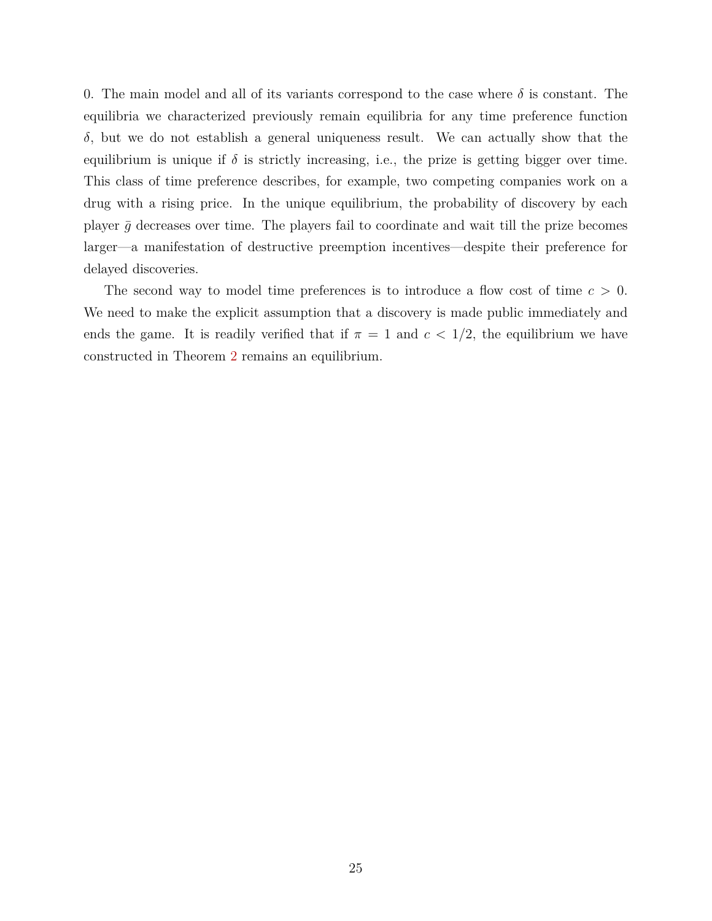0. The main model and all of its variants correspond to the case where  $\delta$  is constant. The equilibria we characterized previously remain equilibria for any time preference function *δ*, but we do not establish a general uniqueness result. We can actually show that the equilibrium is unique if  $\delta$  is strictly increasing, i.e., the prize is getting bigger over time. This class of time preference describes, for example, two competing companies work on a drug with a rising price. In the unique equilibrium, the probability of discovery by each player  $\bar{q}$  decreases over time. The players fail to coordinate and wait till the prize becomes larger—a manifestation of destructive preemption incentives—despite their preference for delayed discoveries.

The second way to model time preferences is to introduce a flow cost of time *c >* 0. We need to make the explicit assumption that a discovery is made public immediately and ends the game. It is readily verified that if  $\pi = 1$  and  $c < 1/2$ , the equilibrium we have constructed in Theorem [2](#page-15-1) remains an equilibrium.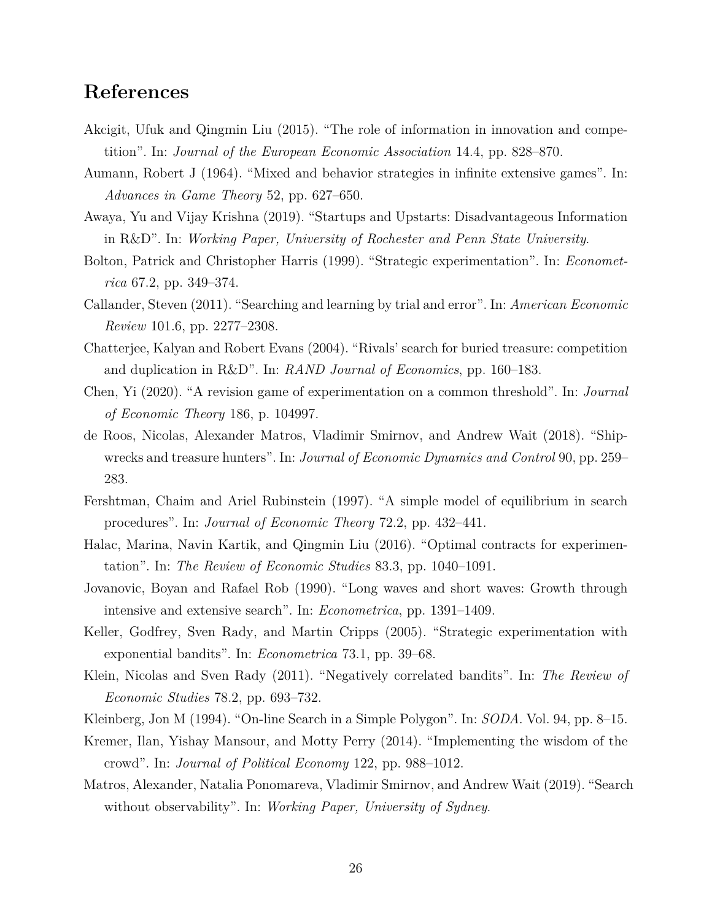## <span id="page-27-0"></span>**References**

- <span id="page-27-16"></span>Akcigit, Ufuk and Qingmin Liu (2015). "The role of information in innovation and competition". In: *Journal of the European Economic Association* 14.4, pp. 828–870.
- <span id="page-27-15"></span>Aumann, Robert J (1964). "Mixed and behavior strategies in infinite extensive games". In: *Advances in Game Theory* 52, pp. 627–650.
- <span id="page-27-10"></span>Awaya, Yu and Vijay Krishna (2019). "Startups and Upstarts: Disadvantageous Information in R&D". In: *Working Paper, University of Rochester and Penn State University*.
- <span id="page-27-8"></span>Bolton, Patrick and Christopher Harris (1999). "Strategic experimentation". In: *Econometrica* 67.2, pp. 349–374.
- <span id="page-27-13"></span>Callander, Steven (2011). "Searching and learning by trial and error". In: *American Economic Review* 101.6, pp. 2277–2308.
- <span id="page-27-3"></span>Chatterjee, Kalyan and Robert Evans (2004). "Rivals' search for buried treasure: competition and duplication in R&D". In: *RAND Journal of Economics*, pp. 160–183.
- <span id="page-27-14"></span>Chen, Yi (2020). "A revision game of experimentation on a common threshold". In: *Journal of Economic Theory* 186, p. 104997.
- <span id="page-27-5"></span>de Roos, Nicolas, Alexander Matros, Vladimir Smirnov, and Andrew Wait (2018). "Shipwrecks and treasure hunters". In: *Journal of Economic Dynamics and Control* 90, pp. 259– 283.
- <span id="page-27-1"></span>Fershtman, Chaim and Ariel Rubinstein (1997). "A simple model of equilibrium in search procedures". In: *Journal of Economic Theory* 72.2, pp. 432–441.
- <span id="page-27-9"></span>Halac, Marina, Navin Kartik, and Qingmin Liu (2016). "Optimal contracts for experimentation". In: *The Review of Economic Studies* 83.3, pp. 1040–1091.
- <span id="page-27-12"></span>Jovanovic, Boyan and Rafael Rob (1990). "Long waves and short waves: Growth through intensive and extensive search". In: *Econometrica*, pp. 1391–1409.
- <span id="page-27-7"></span>Keller, Godfrey, Sven Rady, and Martin Cripps (2005). "Strategic experimentation with exponential bandits". In: *Econometrica* 73.1, pp. 39–68.
- <span id="page-27-6"></span>Klein, Nicolas and Sven Rady (2011). "Negatively correlated bandits". In: *The Review of Economic Studies* 78.2, pp. 693–732.
- <span id="page-27-4"></span>Kleinberg, Jon M (1994). "On-line Search in a Simple Polygon". In: *SODA*. Vol. 94, pp. 8–15.
- <span id="page-27-11"></span>Kremer, Ilan, Yishay Mansour, and Motty Perry (2014). "Implementing the wisdom of the crowd". In: *Journal of Political Economy* 122, pp. 988–1012.
- <span id="page-27-2"></span>Matros, Alexander, Natalia Ponomareva, Vladimir Smirnov, and Andrew Wait (2019). "Search without observability". In: *Working Paper, University of Sydney*.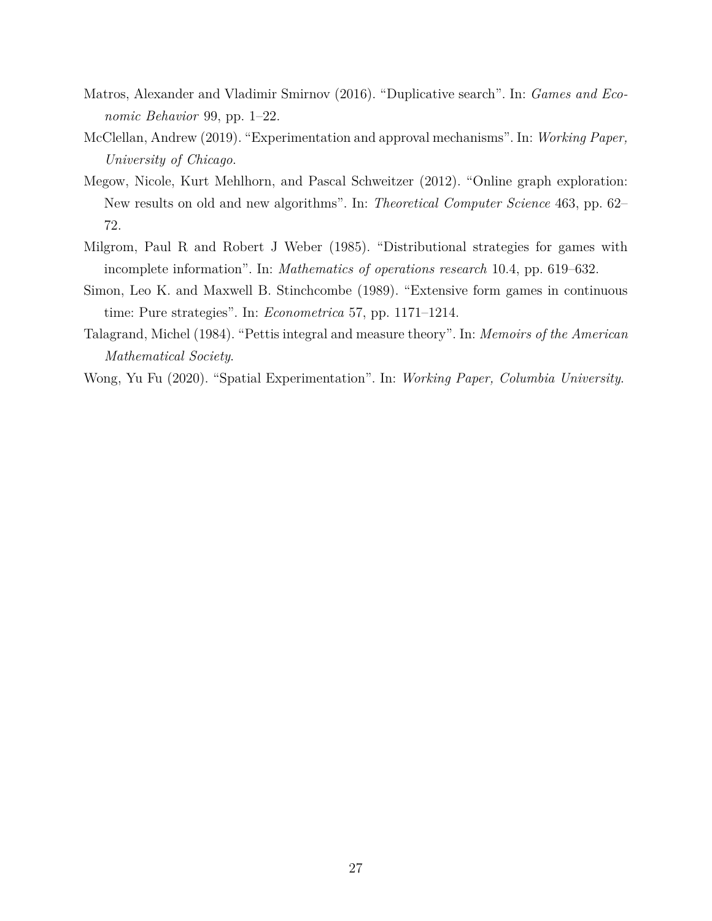- <span id="page-28-1"></span>Matros, Alexander and Vladimir Smirnov (2016). "Duplicative search". In: *Games and Economic Behavior* 99, pp. 1–22.
- <span id="page-28-2"></span>McClellan, Andrew (2019). "Experimentation and approval mechanisms". In: *Working Paper, University of Chicago*.
- <span id="page-28-0"></span>Megow, Nicole, Kurt Mehlhorn, and Pascal Schweitzer (2012). "Online graph exploration: New results on old and new algorithms". In: *Theoretical Computer Science* 463, pp. 62– 72.
- <span id="page-28-6"></span>Milgrom, Paul R and Robert J Weber (1985). "Distributional strategies for games with incomplete information". In: *Mathematics of operations research* 10.4, pp. 619–632.
- <span id="page-28-4"></span>Simon, Leo K. and Maxwell B. Stinchcombe (1989). "Extensive form games in continuous time: Pure strategies". In: *Econometrica* 57, pp. 1171–1214.
- <span id="page-28-5"></span>Talagrand, Michel (1984). "Pettis integral and measure theory". In: *Memoirs of the American Mathematical Society*.
- <span id="page-28-3"></span>Wong, Yu Fu (2020). "Spatial Experimentation". In: *Working Paper, Columbia University*.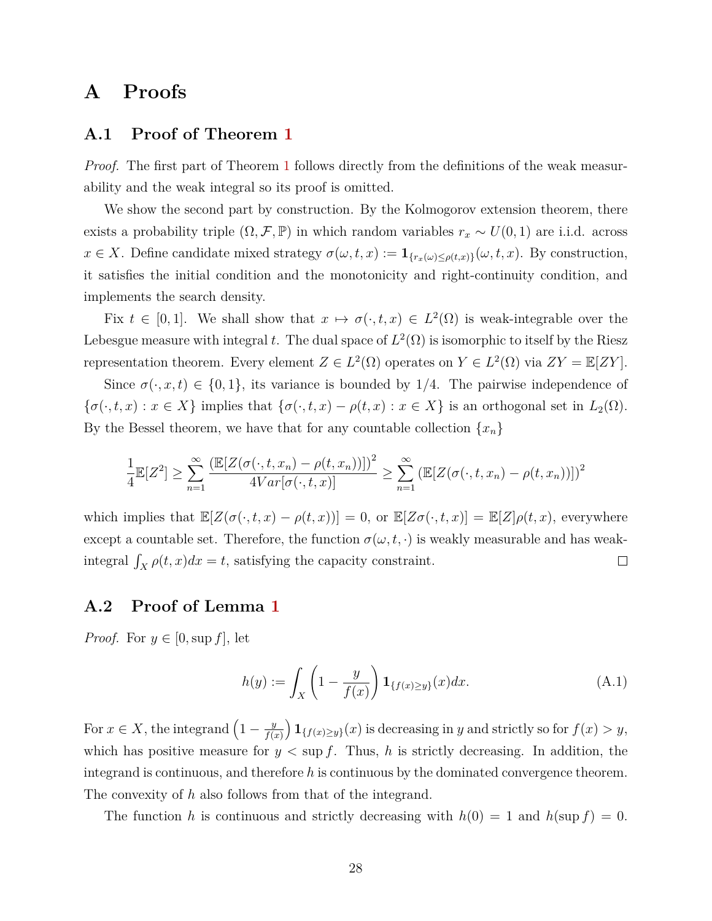## <span id="page-29-0"></span>**A Proofs**

## <span id="page-29-1"></span>**A.1 Proof of Theorem [1](#page-9-0)**

*Proof.* The first part of Theorem [1](#page-9-0) follows directly from the definitions of the weak measurability and the weak integral so its proof is omitted.

We show the second part by construction. By the Kolmogorov extension theorem, there exists a probability triple  $(\Omega, \mathcal{F}, \mathbb{P})$  in which random variables  $r_x \sim U(0, 1)$  are i.i.d. across  $x \in X$ . Define candidate mixed strategy  $\sigma(\omega, t, x) := \mathbf{1}_{\{r_x(\omega) \leq \rho(t, x)\}}(\omega, t, x)$ . By construction, it satisfies the initial condition and the monotonicity and right-continuity condition, and implements the search density.

Fix  $t \in [0,1]$ . We shall show that  $x \mapsto \sigma(\cdot, t, x) \in L^2(\Omega)$  is weak-integrable over the Lebesgue measure with integral *t*. The dual space of  $L^2(\Omega)$  is isomorphic to itself by the Riesz representation theorem. Every element  $Z \in L^2(\Omega)$  operates on  $Y \in L^2(\Omega)$  via  $ZY = \mathbb{E}[ZY]$ .

Since  $\sigma(\cdot, x, t) \in \{0, 1\}$ , its variance is bounded by 1/4. The pairwise independence of  $\{\sigma(\cdot, t, x) : x \in X\}$  implies that  $\{\sigma(\cdot, t, x) - \rho(t, x) : x \in X\}$  is an orthogonal set in  $L_2(\Omega)$ . By the Bessel theorem, we have that for any countable collection  $\{x_n\}$ 

$$
\frac{1}{4}\mathbb{E}[Z^2] \ge \sum_{n=1}^{\infty} \frac{\left(\mathbb{E}[Z(\sigma(\cdot,t,x_n) - \rho(t,x_n))]\right)^2}{4Var[\sigma(\cdot,t,x)]} \ge \sum_{n=1}^{\infty} \left(\mathbb{E}[Z(\sigma(\cdot,t,x_n) - \rho(t,x_n))]\right)^2
$$

which implies that  $\mathbb{E}[Z(\sigma(\cdot,t,x) - \rho(t,x))] = 0$ , or  $\mathbb{E}[Z\sigma(\cdot,t,x)] = \mathbb{E}[Z]\rho(t,x)$ , everywhere except a countable set. Therefore, the function  $\sigma(\omega, t, \cdot)$  is weakly measurable and has weakintegral  $\int_X \rho(t, x) dx = t$ , satisfying the capacity constraint.  $\Box$ 

## <span id="page-29-2"></span>**A.2 Proof of Lemma [1](#page-13-0)**

*Proof.* For  $y \in [0, \sup f]$ , let

$$
h(y) := \int_{X} \left(1 - \frac{y}{f(x)}\right) \mathbf{1}_{\{f(x) \ge y\}}(x) dx.
$$
 (A.1)

For  $x \in X$ , the integrand  $\left(1 - \frac{y}{f(x)}\right)$ *f*(*x*) **1**{ $f(x) ≥ y$ }(*x*) is decreasing in *y* and strictly so for  $f(x) > y$ , which has positive measure for  $y < \sup f$ . Thus, h is strictly decreasing. In addition, the integrand is continuous, and therefore *h* is continuous by the dominated convergence theorem. The convexity of *h* also follows from that of the integrand.

The function *h* is continuous and strictly decreasing with  $h(0) = 1$  and  $h(\sup f) = 0$ .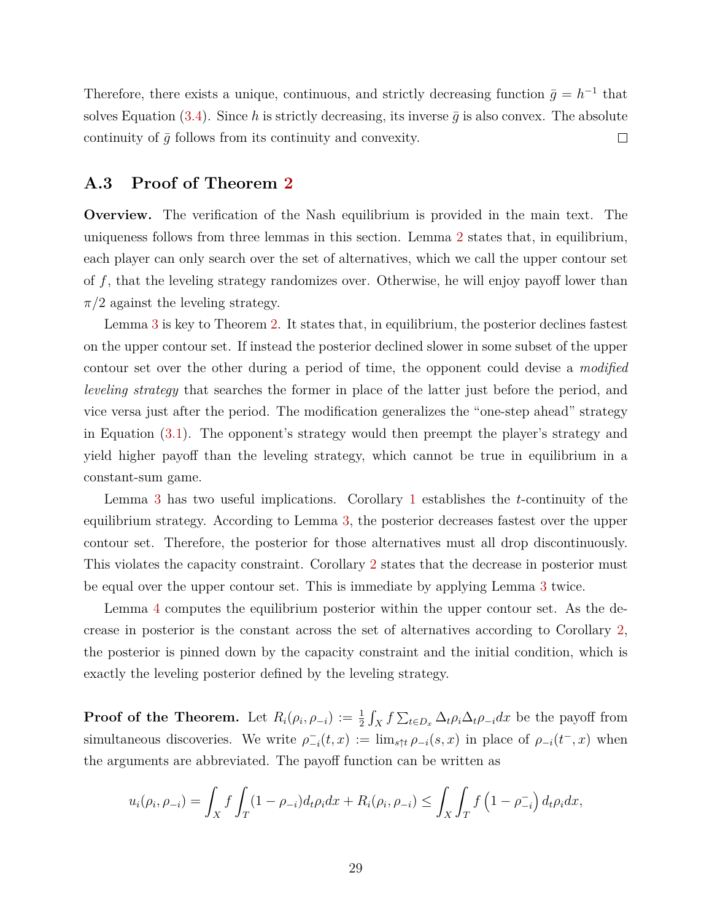Therefore, there exists a unique, continuous, and strictly decreasing function  $\bar{g} = h^{-1}$  that solves Equation [\(3.4\)](#page-13-1). Since h is strictly decreasing, its inverse  $\bar{q}$  is also convex. The absolute continuity of  $\bar{g}$  follows from its continuity and convexity.  $\Box$ 

## <span id="page-30-0"></span>**A.3 Proof of Theorem [2](#page-15-1)**

**Overview.** The verification of the Nash equilibrium is provided in the main text. The uniqueness follows from three lemmas in this section. Lemma [2](#page-31-0) states that, in equilibrium, each player can only search over the set of alternatives, which we call the upper contour set of *f*, that the leveling strategy randomizes over. Otherwise, he will enjoy payoff lower than  $\pi/2$  against the leveling strategy.

Lemma [3](#page-31-1) is key to Theorem [2.](#page-15-1) It states that, in equilibrium, the posterior declines fastest on the upper contour set. If instead the posterior declined slower in some subset of the upper contour set over the other during a period of time, the opponent could devise a *modified leveling strategy* that searches the former in place of the latter just before the period, and vice versa just after the period. The modification generalizes the "one-step ahead" strategy in Equation [\(3.1\)](#page-11-3). The opponent's strategy would then preempt the player's strategy and yield higher payoff than the leveling strategy, which cannot be true in equilibrium in a constant-sum game.

Lemma [3](#page-31-1) has two useful implications. Corollary [1](#page-34-0) establishes the *t*-continuity of the equilibrium strategy. According to Lemma [3,](#page-31-1) the posterior decreases fastest over the upper contour set. Therefore, the posterior for those alternatives must all drop discontinuously. This violates the capacity constraint. Corollary [2](#page-34-1) states that the decrease in posterior must be equal over the upper contour set. This is immediate by applying Lemma [3](#page-31-1) twice.

Lemma [4](#page-35-0) computes the equilibrium posterior within the upper contour set. As the decrease in posterior is the constant across the set of alternatives according to Corollary [2,](#page-34-1) the posterior is pinned down by the capacity constraint and the initial condition, which is exactly the leveling posterior defined by the leveling strategy.

**Proof of the Theorem.** Let  $R_i(\rho_i, \rho_{-i}) := \frac{1}{2} \int_X f \sum_{t \in D_x} \Delta_t \rho_i \Delta_t \rho_{-i} dx$  be the payoff from simultaneous discoveries. We write  $\rho_{-i}^{-}(t, x) := \lim_{s \uparrow t} \rho_{-i}(s, x)$  in place of  $\rho_{-i}(t^{-}, x)$  when the arguments are abbreviated. The payoff function can be written as

$$
u_i(\rho_i, \rho_{-i}) = \int_X f \int_T (1 - \rho_{-i}) d_t \rho_i dx + R_i(\rho_i, \rho_{-i}) \le \int_X \int_T f (1 - \rho_{-i}^-) d_t \rho_i dx,
$$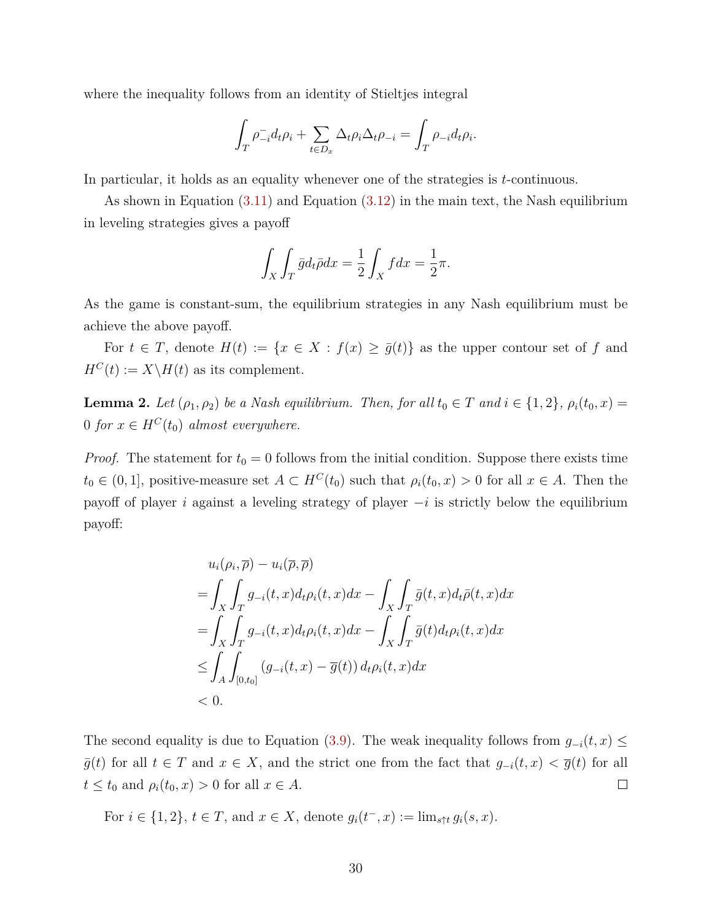where the inequality follows from an identity of Stieltjes integral

$$
\int_T \rho_{-i}^- d_t \rho_i + \sum_{t \in D_x} \Delta_t \rho_i \Delta_t \rho_{-i} = \int_T \rho_{-i} d_t \rho_i.
$$

In particular, it holds as an equality whenever one of the strategies is *t*-continuous.

As shown in Equation [\(3.11\)](#page-17-3) and Equation [\(3.12\)](#page-17-4) in the main text, the Nash equilibrium in leveling strategies gives a payoff

$$
\int_X \int_T \bar{g} d_t \bar{\rho} dx = \frac{1}{2} \int_X f dx = \frac{1}{2} \pi.
$$

As the game is constant-sum, the equilibrium strategies in any Nash equilibrium must be achieve the above payoff.

For  $t \in T$ , denote  $H(t) := \{x \in X : f(x) \ge \overline{g}(t)\}\$ as the upper contour set of f and  $H^C(t) := X \backslash H(t)$  as its complement.

<span id="page-31-0"></span>**Lemma 2.** *Let*  $(\rho_1, \rho_2)$  *be a Nash equilibrium. Then, for all*  $t_0 \in T$  *and*  $i \in \{1, 2\}$ *,*  $\rho_i(t_0, x) =$ 0 *for*  $x \in H^C(t_0)$  *almost everywhere.* 

*Proof.* The statement for  $t_0 = 0$  follows from the initial condition. Suppose there exists time  $t_0 \in (0,1]$ , positive-measure set  $A \subset H^C(t_0)$  such that  $\rho_i(t_0, x) > 0$  for all  $x \in A$ . Then the payoff of player *i* against a leveling strategy of player −*i* is strictly below the equilibrium payoff:

$$
u_i(\rho_i, \overline{\rho}) - u_i(\overline{\rho}, \overline{\rho})
$$
  
= 
$$
\int_X \int_T g_{-i}(t, x) d_t \rho_i(t, x) dx - \int_X \int_T \overline{g}(t, x) d_t \overline{\rho}(t, x) dx
$$
  
= 
$$
\int_X \int_T g_{-i}(t, x) d_t \rho_i(t, x) dx - \int_X \int_T \overline{g}(t) d_t \rho_i(t, x) dx
$$
  
\$\leq \int\_A \int\_{[0, t\_0]} (g\_{-i}(t, x) - \overline{g}(t)) d\_t \rho\_i(t, x) dx\$  
\$0.

The second equality is due to Equation [\(3.9\)](#page-16-2). The weak inequality follows from  $g_{-i}(t, x) \leq$ *g*(*t*) for all *t* ∈ *T* and *x* ∈ *X*, and the strict one from the fact that  $g_{-i}(t, x) < g(t)$  for all  $t \leq t_0$  and  $\rho_i(t_0, x) > 0$  for all  $x \in A$ .  $\Box$ 

<span id="page-31-1"></span>For *i* ∈ {1, 2}, *t* ∈ *T*, and *x* ∈ *X*, denote  $g_i(t^-, x) := \lim_{s \uparrow t} g_i(s, x)$ .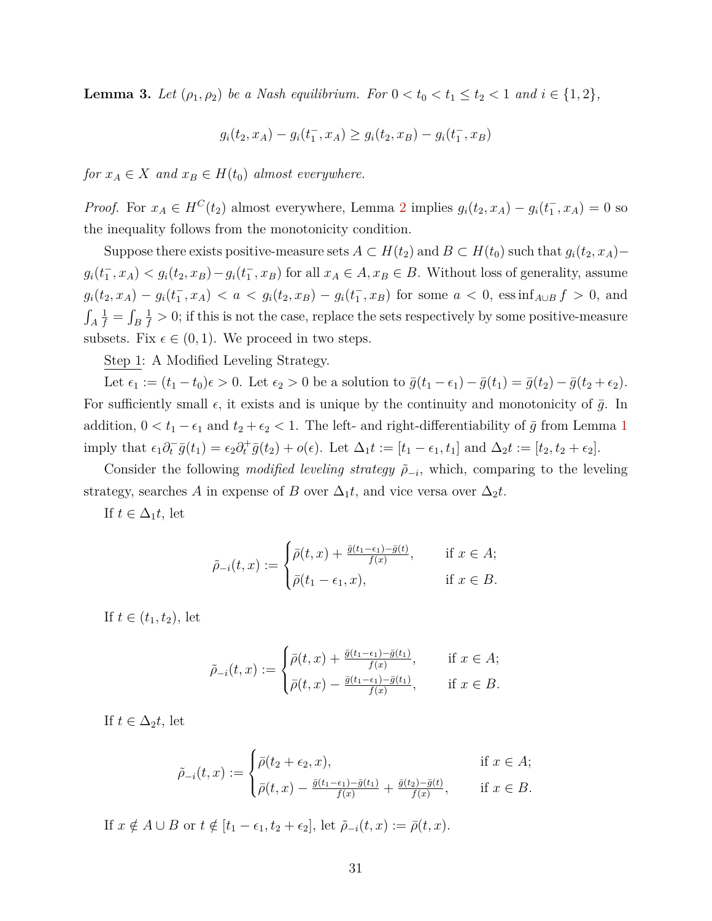**Lemma 3.** *Let*  $(\rho_1, \rho_2)$  *be a Nash equilibrium. For*  $0 < t_0 < t_1 \le t_2 < 1$  *and*  $i \in \{1, 2\}$ *,* 

$$
g_i(t_2, x_A) - g_i(t_1^-, x_A) \ge g_i(t_2, x_B) - g_i(t_1^-, x_B)
$$

*for*  $x_A \in X$  *and*  $x_B \in H(t_0)$  *almost everywhere.* 

*Proof.* For  $x_A \in H^C(t_2)$  $x_A \in H^C(t_2)$  $x_A \in H^C(t_2)$  almost everywhere, Lemma 2 implies  $g_i(t_2, x_A) - g_i(t_1^-, x_A) = 0$  so the inequality follows from the monotonicity condition.

Suppose there exists positive-measure sets  $A \subset H(t_2)$  and  $B \subset H(t_0)$  such that  $g_i(t_2, x_A)$ –  $g_i(t_1^-, x_A) < g_i(t_2, x_B) - g_i(t_1^-, x_B)$  for all  $x_A \in A, x_B \in B$ . Without loss of generality, assume  $g_i(t_2, x_A) - g_i(t_1^-, x_A) < a < g_i(t_2, x_B) - g_i(t_1^-, x_B)$  for some  $a < 0$ , ess inf<sub>A $\cup B$ </sub> f > 0, and  $\int_A$  $\frac{1}{f} = \int_B$  $\frac{1}{f} > 0$ ; if this is not the case, replace the sets respectively by some positive-measure subsets. Fix  $\epsilon \in (0,1)$ . We proceed in two steps.

Step 1: A Modified Leveling Strategy.

Let  $\epsilon_1 := (t_1 - t_0)\epsilon > 0$ . Let  $\epsilon_2 > 0$  be a solution to  $\bar{g}(t_1 - \epsilon_1) - \bar{g}(t_1) = \bar{g}(t_2) - \bar{g}(t_2 + \epsilon_2)$ . For sufficiently small  $\epsilon$ , it exists and is unique by the continuity and monotonicity of  $\bar{g}$ . In addition,  $0 < t_1 - \epsilon_1$  $0 < t_1 - \epsilon_1$  $0 < t_1 - \epsilon_1$  and  $t_2 + \epsilon_2 < 1$ . The left- and right-differentiability of  $\bar{g}$  from Lemma 1 imply that  $\epsilon_1 \partial_t^{\top} \bar{g}(t_1) = \epsilon_2 \partial_t^{\top} \bar{g}(t_2) + o(\epsilon)$ . Let  $\Delta_1 t := [t_1 - \epsilon_1, t_1]$  and  $\Delta_2 t := [t_2, t_2 + \epsilon_2]$ .

Consider the following *modified leveling strategy*  $\tilde{\rho}_{-i}$ , which, comparing to the leveling strategy, searches *A* in expense of *B* over  $\Delta_1 t$ , and vice versa over  $\Delta_2 t$ .

If  $t \in \Delta_1 t$ , let

$$
\tilde{\rho}_{-i}(t,x) := \begin{cases}\n\bar{\rho}(t,x) + \frac{\bar{g}(t_1 - \epsilon_1) - \bar{g}(t)}{f(x)}, & \text{if } x \in A; \\
\bar{\rho}(t_1 - \epsilon_1, x), & \text{if } x \in B.\n\end{cases}
$$

If  $t \in (t_1, t_2)$ , let

$$
\tilde{\rho}_{-i}(t,x) := \begin{cases}\n\bar{\rho}(t,x) + \frac{\bar{g}(t_1 - \epsilon_1) - \bar{g}(t_1)}{f(x)}, & \text{if } x \in A; \\
\bar{\rho}(t,x) - \frac{\bar{g}(t_1 - \epsilon_1) - \bar{g}(t_1)}{f(x)}, & \text{if } x \in B.\n\end{cases}
$$

If  $t \in \Delta_2 t$ , let

$$
\tilde{\rho}_{-i}(t,x) := \begin{cases}\n\bar{\rho}(t_2 + \epsilon_2, x), & \text{if } x \in A; \\
\bar{\rho}(t, x) - \frac{\bar{g}(t_1 - \epsilon_1) - \bar{g}(t_1)}{f(x)} + \frac{\bar{g}(t_2) - \bar{g}(t)}{f(x)}, & \text{if } x \in B.\n\end{cases}
$$

If  $x \notin A \cup B$  or  $t \notin [t_1 - \epsilon_1, t_2 + \epsilon_2]$ , let  $\tilde{\rho}_{-i}(t, x) := \bar{\rho}(t, x)$ .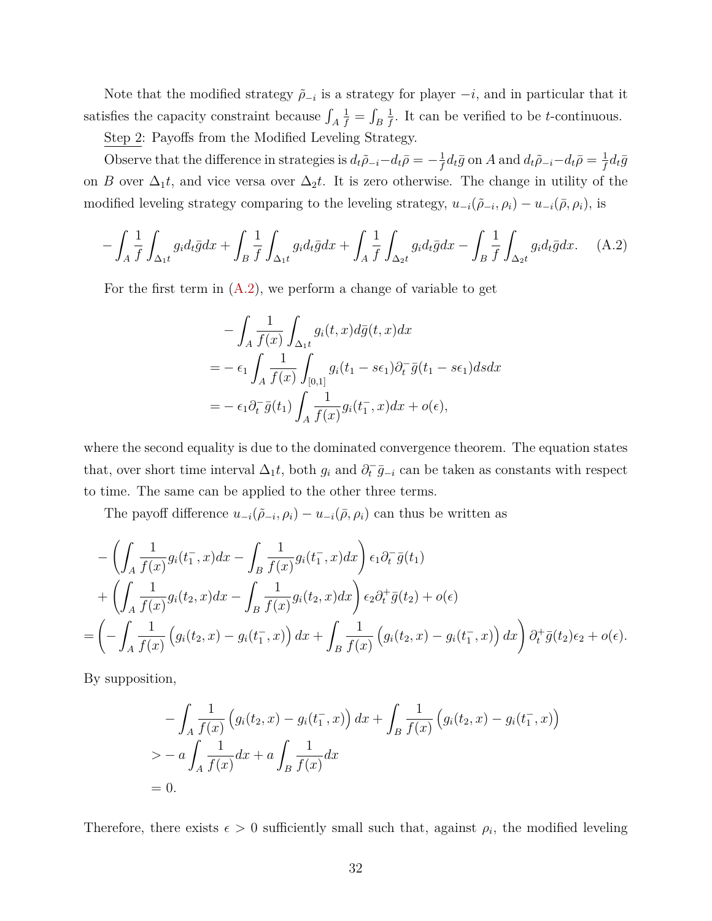Note that the modified strategy  $\tilde{\rho}_{-i}$  is a strategy for player  $-i$ , and in particular that it satisfies the capacity constraint because  $\int_A$  $\frac{1}{f} = \int_B$ 1  $\frac{1}{f}$ . It can be verified to be *t*-continuous.

Step 2: Payoffs from the Modified Leveling Strategy.

Observe that the difference in strategies is  $d_t \tilde{\rho}_{-i} - d_t \bar{\rho} = -\frac{1}{f}$  $\frac{1}{f}d_t\bar{g}$  on *A* and  $d_t\tilde{\rho}_{-i}-d_t\bar{\rho}=\frac{1}{f}$  $\frac{1}{f}d_t\bar{g}$ on *B* over  $\Delta_1 t$ , and vice versa over  $\Delta_2 t$ . It is zero otherwise. The change in utility of the modified leveling strategy comparing to the leveling strategy,  $u_{-i}(\tilde{\rho}_{-i}, \rho_i) - u_{-i}(\bar{\rho}, \rho_i)$ , is

$$
-\int_A \frac{1}{f} \int_{\Delta_1 t} g_i d_t \bar{g} dx + \int_B \frac{1}{f} \int_{\Delta_1 t} g_i d_t \bar{g} dx + \int_A \frac{1}{f} \int_{\Delta_2 t} g_i d_t \bar{g} dx - \int_B \frac{1}{f} \int_{\Delta_2 t} g_i d_t \bar{g} dx. \tag{A.2}
$$

For the first term in  $(A.2)$ , we perform a change of variable to get

<span id="page-33-0"></span>
$$
-\int_{A} \frac{1}{f(x)} \int_{\Delta_{1}t} g_{i}(t,x) d\bar{g}(t,x) dx
$$
  
=  $-\epsilon_{1} \int_{A} \frac{1}{f(x)} \int_{[0,1]} g_{i}(t_{1} - s\epsilon_{1}) \partial_{t}^{-} \bar{g}(t_{1} - s\epsilon_{1}) ds dx$   
=  $-\epsilon_{1} \partial_{t}^{-} \bar{g}(t_{1}) \int_{A} \frac{1}{f(x)} g_{i}(t_{1}^{-}, x) dx + o(\epsilon),$ 

where the second equality is due to the dominated convergence theorem. The equation states that, over short time interval  $\Delta_1 t$ , both  $g_i$  and  $\partial_t^- \bar{g}_{-i}$  can be taken as constants with respect to time. The same can be applied to the other three terms.

The payoff difference  $u_{-i}(\tilde{\rho}_{-i}, \rho_i) - u_{-i}(\bar{\rho}, \rho_i)$  can thus be written as

$$
-\left(\int_A \frac{1}{f(x)} g_i(t_1^-, x) dx - \int_B \frac{1}{f(x)} g_i(t_1^-, x) dx\right) \epsilon_1 \partial_t^-\overline{g}(t_1)
$$
  
+ 
$$
\left(\int_A \frac{1}{f(x)} g_i(t_2, x) dx - \int_B \frac{1}{f(x)} g_i(t_2, x) dx\right) \epsilon_2 \partial_t^+\overline{g}(t_2) + o(\epsilon)
$$
  
= 
$$
\left(-\int_A \frac{1}{f(x)} \left(g_i(t_2, x) - g_i(t_1^-, x)\right) dx + \int_B \frac{1}{f(x)} \left(g_i(t_2, x) - g_i(t_1^-, x)\right) dx\right) \partial_t^+\overline{g}(t_2) \epsilon_2 + o(\epsilon).
$$

By supposition,

$$
-\int_{A} \frac{1}{f(x)} \left( g_i(t_2, x) - g_i(t_1^-, x) \right) dx + \int_{B} \frac{1}{f(x)} \left( g_i(t_2, x) - g_i(t_1^-, x) \right)
$$
  
> 
$$
- a \int_{A} \frac{1}{f(x)} dx + a \int_{B} \frac{1}{f(x)} dx
$$
  
= 0.

Therefore, there exists  $\epsilon > 0$  sufficiently small such that, against  $\rho_i$ , the modified leveling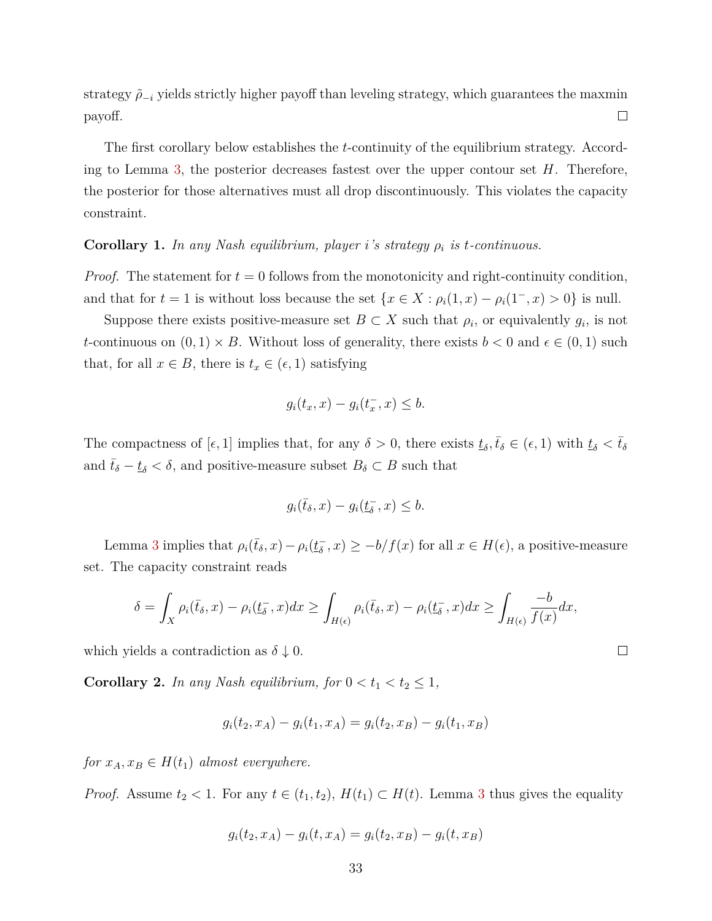strategy  $\tilde{\rho}_{-i}$  yields strictly higher payoff than leveling strategy, which guarantees the maxmin payoff.  $\Box$ 

The first corollary below establishes the *t*-continuity of the equilibrium strategy. According to Lemma [3,](#page-31-1) the posterior decreases fastest over the upper contour set *H*. Therefore, the posterior for those alternatives must all drop discontinuously. This violates the capacity constraint.

### <span id="page-34-0"></span>**Corollary 1.** *In any Nash equilibrium, player i's strategy ρ<sup>i</sup> is t-continuous.*

*Proof.* The statement for  $t = 0$  follows from the monotonicity and right-continuity condition, and that for  $t = 1$  is without loss because the set  $\{x \in X : \rho_i(1, x) - \rho_i(1^-, x) > 0\}$  is null.

Suppose there exists positive-measure set  $B \subset X$  such that  $\rho_i$ , or equivalently  $g_i$ , is not *t*-continuous on  $(0,1) \times B$ . Without loss of generality, there exists  $b < 0$  and  $\epsilon \in (0,1)$  such that, for all  $x \in B$ , there is  $t_x \in (\epsilon, 1)$  satisfying

$$
g_i(t_x, x) - g_i(t_x^-, x) \leq b.
$$

The compactness of  $[\epsilon, 1]$  implies that, for any  $\delta > 0$ , there exists  $\underline{t}_{\delta}, \overline{t}_{\delta} \in (\epsilon, 1)$  with  $\underline{t}_{\delta} < \overline{t}_{\delta}$ and  $\bar{t}_{\delta} - \underline{t}_{\delta} < \delta$ , and positive-measure subset  $B_{\delta} \subset B$  such that

$$
g_i(\bar{t}_{\delta}, x) - g_i(\underline{t}_{\delta}^-, x) \le b.
$$

Lemma [3](#page-31-1) implies that  $\rho_i(\bar{t}_\delta, x) - \rho_i(t_\delta^-)$  $(\overline{\delta}, x) \ge -b/f(x)$  for all  $x \in H(\epsilon)$ , a positive-measure set. The capacity constraint reads

$$
\delta = \int_X \rho_i(\bar{t}_\delta, x) - \rho_i(\underline{t}_\delta^-, x) dx \ge \int_{H(\epsilon)} \rho_i(\bar{t}_\delta, x) - \rho_i(\underline{t}_\delta^-, x) dx \ge \int_{H(\epsilon)} \frac{-b}{f(x)} dx,
$$

which yields a contradiction as  $\delta \downarrow 0$ .

<span id="page-34-1"></span>**Corollary 2.** *In any Nash equilibrium, for*  $0 < t_1 < t_2 \leq 1$ ,

$$
g_i(t_2, x_A) - g_i(t_1, x_A) = g_i(t_2, x_B) - g_i(t_1, x_B)
$$

*for*  $x_A, x_B \in H(t_1)$  *almost everywhere.* 

*Proof.* Assume  $t_2 < 1$ . For any  $t \in (t_1, t_2)$ ,  $H(t_1) \subset H(t)$ . Lemma [3](#page-31-1) thus gives the equality

$$
g_i(t_2, x_A) - g_i(t, x_A) = g_i(t_2, x_B) - g_i(t, x_B)
$$

 $\Box$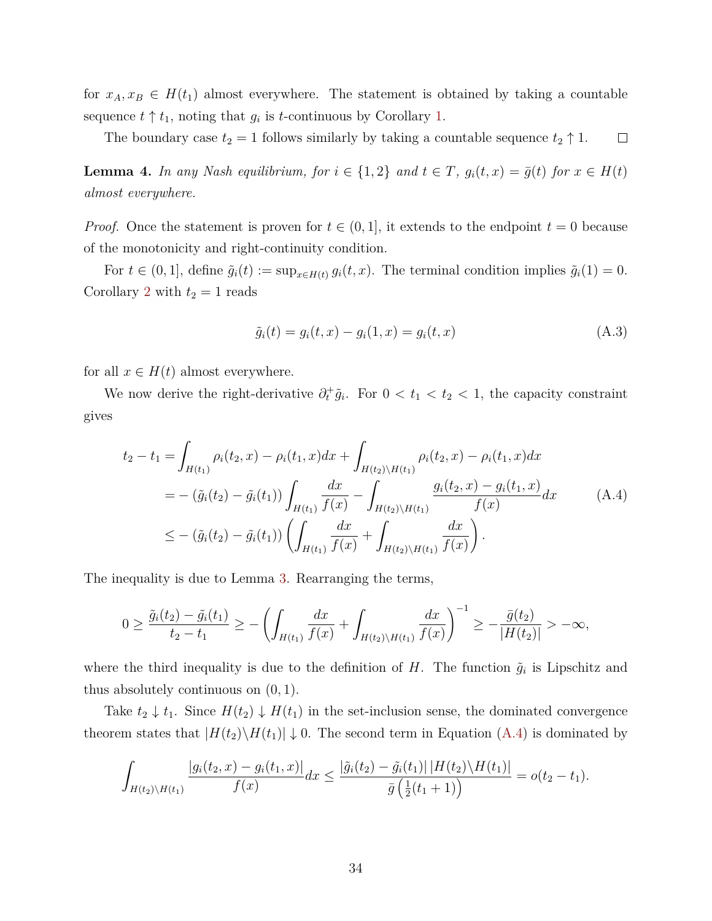for  $x_A, x_B \in H(t_1)$  almost everywhere. The statement is obtained by taking a countable sequence  $t \uparrow t_1$ , noting that  $g_i$  is *t*-continuous by Corollary [1.](#page-34-0)

The boundary case  $t_2 = 1$  follows similarly by taking a countable sequence  $t_2 \uparrow 1$ .  $\Box$ 

<span id="page-35-0"></span>**Lemma 4.** In any Nash equilibrium, for  $i \in \{1,2\}$  and  $t \in T$ ,  $g_i(t,x) = \overline{g}(t)$  for  $x \in H(t)$ *almost everywhere.*

*Proof.* Once the statement is proven for  $t \in (0,1]$ , it extends to the endpoint  $t = 0$  because of the monotonicity and right-continuity condition.

For  $t \in (0,1]$ , define  $\tilde{g}_i(t) := \sup_{x \in H(t)} g_i(t, x)$ . The terminal condition implies  $\tilde{g}_i(1) = 0$ . Corollary [2](#page-34-1) with  $t_2 = 1$  reads

<span id="page-35-1"></span>
$$
\tilde{g}_i(t) = g_i(t, x) - g_i(1, x) = g_i(t, x)
$$
\n(A.3)

for all  $x \in H(t)$  almost everywhere.

We now derive the right-derivative  $\partial_t^+ \tilde{g}_i$ . For  $0 < t_1 < t_2 < 1$ , the capacity constraint gives

$$
t_2 - t_1 = \int_{H(t_1)} \rho_i(t_2, x) - \rho_i(t_1, x) dx + \int_{H(t_2) \backslash H(t_1)} \rho_i(t_2, x) - \rho_i(t_1, x) dx
$$
  
= 
$$
- (\tilde{g}_i(t_2) - \tilde{g}_i(t_1)) \int_{H(t_1)} \frac{dx}{f(x)} - \int_{H(t_2) \backslash H(t_1)} \frac{g_i(t_2, x) - g_i(t_1, x)}{f(x)} dx
$$
(A.4)  

$$
\leq - (\tilde{g}_i(t_2) - \tilde{g}_i(t_1)) \left( \int_{H(t_1)} \frac{dx}{f(x)} + \int_{H(t_2) \backslash H(t_1)} \frac{dx}{f(x)} \right).
$$

The inequality is due to Lemma [3.](#page-31-1) Rearranging the terms,

$$
0 \ge \frac{\tilde{g}_i(t_2) - \tilde{g}_i(t_1)}{t_2 - t_1} \ge -\left(\int_{H(t_1)} \frac{dx}{f(x)} + \int_{H(t_2) \setminus H(t_1)} \frac{dx}{f(x)}\right)^{-1} \ge -\frac{\bar{g}(t_2)}{|H(t_2)|} > -\infty,
$$

where the third inequality is due to the definition of *H*. The function  $\tilde{g}_i$  is Lipschitz and thus absolutely continuous on (0*,* 1).

Take  $t_2 \downarrow t_1$ . Since  $H(t_2) \downarrow H(t_1)$  in the set-inclusion sense, the dominated convergence theorem states that  $|H(t_2)\setminus H(t_1)| \downarrow 0$ . The second term in Equation [\(A.4\)](#page-35-1) is dominated by

$$
\int_{H(t_2)\backslash H(t_1)}\frac{|g_i(t_2,x)-g_i(t_1,x)|}{f(x)}dx\leq \frac{|\tilde{g}_i(t_2)-\tilde{g}_i(t_1)|\,|H(t_2)\backslash H(t_1)|}{\bar{g}\left(\frac{1}{2}(t_1+1)\right)}=o(t_2-t_1).
$$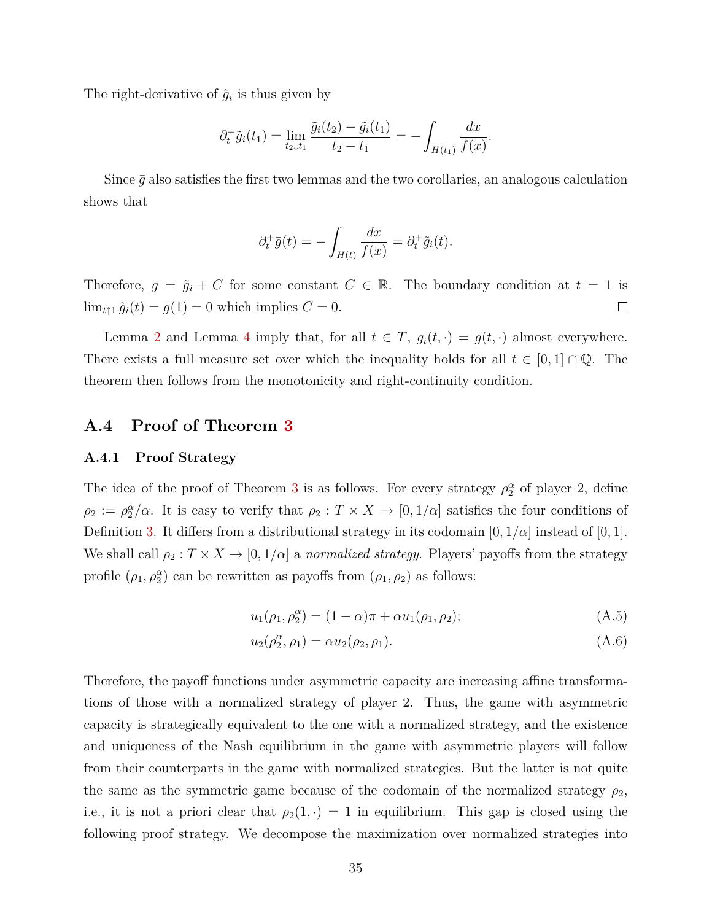The right-derivative of  $\tilde{g}_i$  is thus given by

$$
\partial_t^+ \tilde{g}_i(t_1) = \lim_{t_2 \downarrow t_1} \frac{\tilde{g}_i(t_2) - \tilde{g}_i(t_1)}{t_2 - t_1} = - \int_{H(t_1)} \frac{dx}{f(x)}.
$$

Since  $\bar{q}$  also satisfies the first two lemmas and the two corollaries, an analogous calculation shows that

$$
\partial_t^+ \bar{g}(t) = -\int_{H(t)} \frac{dx}{f(x)} = \partial_t^+ \tilde{g}_i(t).
$$

Therefore,  $\bar{g} = \tilde{g}_i + C$  for some constant  $C \in \mathbb{R}$ . The boundary condition at  $t = 1$  is  $\lim_{t \uparrow 1} \tilde{g}_i(t) = \bar{g}(1) = 0$  which implies  $C = 0$ .  $\Box$ 

Lemma [2](#page-31-0) and Lemma [4](#page-35-0) imply that, for all  $t \in T$ ,  $g_i(t, \cdot) = \overline{g}(t, \cdot)$  almost everywhere. There exists a full measure set over which the inequality holds for all  $t \in [0,1] \cap \mathbb{Q}$ . The theorem then follows from the monotonicity and right-continuity condition.

## <span id="page-36-0"></span>**A.4 Proof of Theorem [3](#page-18-1)**

#### <span id="page-36-1"></span>**A.4.1 Proof Strategy**

The idea of the proof of Theorem [3](#page-18-1) is as follows. For every strategy  $\rho_2^{\alpha}$  of player 2, define  $\rho_2 := \rho_2^{\alpha}/\alpha$ . It is easy to verify that  $\rho_2 : T \times X \to [0, 1/\alpha]$  satisfies the four conditions of Definition [3.](#page-8-4) It differs from a distributional strategy in its codomain  $[0, 1/\alpha]$  instead of  $[0, 1]$ . We shall call  $\rho_2 : T \times X \to [0, 1/\alpha]$  a *normalized strategy*. Players' payoffs from the strategy profile  $(\rho_1, \rho_2^{\alpha})$  can be rewritten as payoffs from  $(\rho_1, \rho_2)$  as follows:

<span id="page-36-3"></span><span id="page-36-2"></span>
$$
u_1(\rho_1, \rho_2^{\alpha}) = (1 - \alpha)\pi + \alpha u_1(\rho_1, \rho_2); \tag{A.5}
$$

$$
u_2(\rho_2^{\alpha}, \rho_1) = \alpha u_2(\rho_2, \rho_1).
$$
 (A.6)

Therefore, the payoff functions under asymmetric capacity are increasing affine transformations of those with a normalized strategy of player 2. Thus, the game with asymmetric capacity is strategically equivalent to the one with a normalized strategy, and the existence and uniqueness of the Nash equilibrium in the game with asymmetric players will follow from their counterparts in the game with normalized strategies. But the latter is not quite the same as the symmetric game because of the codomain of the normalized strategy  $\rho_2$ , i.e., it is not a priori clear that  $\rho_2(1, \cdot) = 1$  in equilibrium. This gap is closed using the following proof strategy. We decompose the maximization over normalized strategies into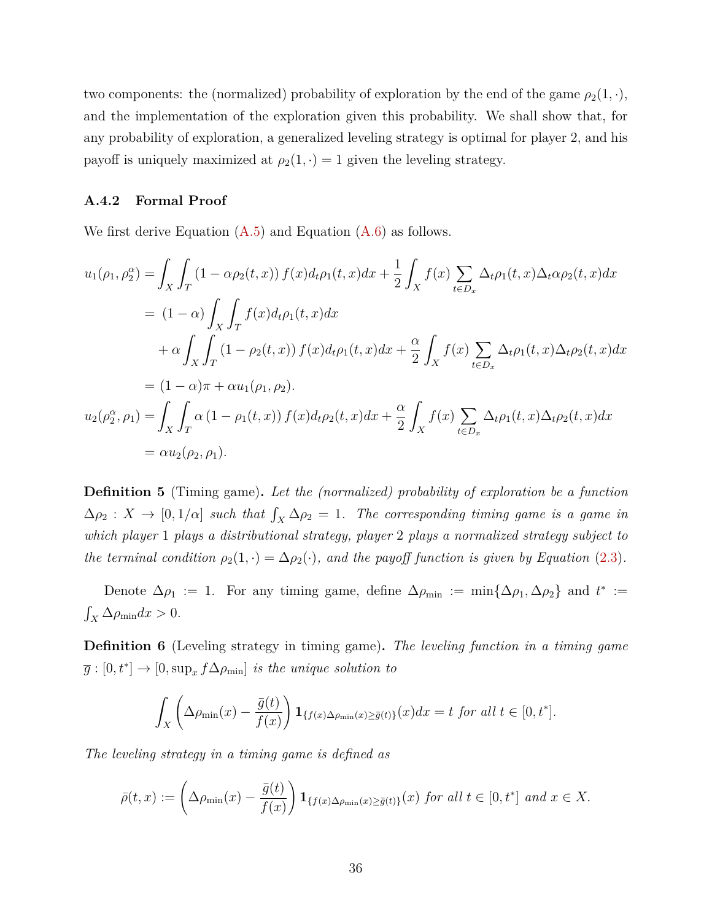two components: the (normalized) probability of exploration by the end of the game  $\rho_2(1, \cdot)$ , and the implementation of the exploration given this probability. We shall show that, for any probability of exploration, a generalized leveling strategy is optimal for player 2, and his payoff is uniquely maximized at  $\rho_2(1, \cdot) = 1$  given the leveling strategy.

## <span id="page-37-0"></span>**A.4.2 Formal Proof**

We first derive Equation  $(A.5)$  and Equation  $(A.6)$  as follows.

$$
u_{1}(\rho_{1}, \rho_{2}^{\alpha}) = \int_{X} \int_{T} (1 - \alpha \rho_{2}(t, x)) f(x) d_{t} \rho_{1}(t, x) dx + \frac{1}{2} \int_{X} f(x) \sum_{t \in D_{x}} \Delta_{t} \rho_{1}(t, x) \Delta_{t} \alpha \rho_{2}(t, x) dx
$$
  
\n
$$
= (1 - \alpha) \int_{X} \int_{T} f(x) d_{t} \rho_{1}(t, x) dx
$$
  
\n
$$
+ \alpha \int_{X} \int_{T} (1 - \rho_{2}(t, x)) f(x) d_{t} \rho_{1}(t, x) dx + \frac{\alpha}{2} \int_{X} f(x) \sum_{t \in D_{x}} \Delta_{t} \rho_{1}(t, x) \Delta_{t} \rho_{2}(t, x) dx
$$
  
\n
$$
= (1 - \alpha) \pi + \alpha u_{1}(\rho_{1}, \rho_{2}).
$$
  
\n
$$
u_{2}(\rho_{2}^{\alpha}, \rho_{1}) = \int_{X} \int_{T} \alpha (1 - \rho_{1}(t, x)) f(x) d_{t} \rho_{2}(t, x) dx + \frac{\alpha}{2} \int_{X} f(x) \sum_{t \in D_{x}} \Delta_{t} \rho_{1}(t, x) \Delta_{t} \rho_{2}(t, x) dx
$$
  
\n
$$
= \alpha u_{2}(\rho_{2}, \rho_{1}).
$$

**Definition 5** (Timing game)**.** *Let the (normalized) probability of exploration be a function*  $\Delta \rho_2 : X \to [0, 1/\alpha]$  *such that*  $\int_X \Delta \rho_2 = 1$ . The corresponding timing game is a game in *which player* 1 *plays a distributional strategy, player* 2 *plays a normalized strategy subject to the terminal condition*  $\rho_2(1, \cdot) = \Delta \rho_2(\cdot)$ *, and the payoff function is given by Equation* [\(2.3\)](#page-10-2)*.* 

Denote  $\Delta \rho_1 := 1$ . For any timing game, define  $\Delta \rho_{\min} := \min\{\Delta \rho_1, \Delta \rho_2\}$  and  $t^* :=$  $\int_X \Delta \rho_{\text{min}} dx > 0.$ 

**Definition 6** (Leveling strategy in timing game)**.** *The leveling function in a timing game*  $\overline{g}:[0,t^*] \to [0,\sup_x f \Delta \rho_{\min}]$  *is the unique solution to* 

$$
\int_X \left( \Delta \rho_{\min}(x) - \frac{\bar{g}(t)}{f(x)} \right) \mathbf{1}_{\{f(x) \Delta \rho_{\min}(x) \ge \bar{g}(t)\}}(x) dx = t \text{ for all } t \in [0, t^*].
$$

*The leveling strategy in a timing game is defined as*

$$
\bar{\rho}(t,x) := \left(\Delta \rho_{\min}(x) - \frac{\bar{g}(t)}{f(x)}\right) \mathbf{1}_{\{f(x) \Delta \rho_{\min}(x) \ge \bar{g}(t)\}}(x) \text{ for all } t \in [0,t^*] \text{ and } x \in X.
$$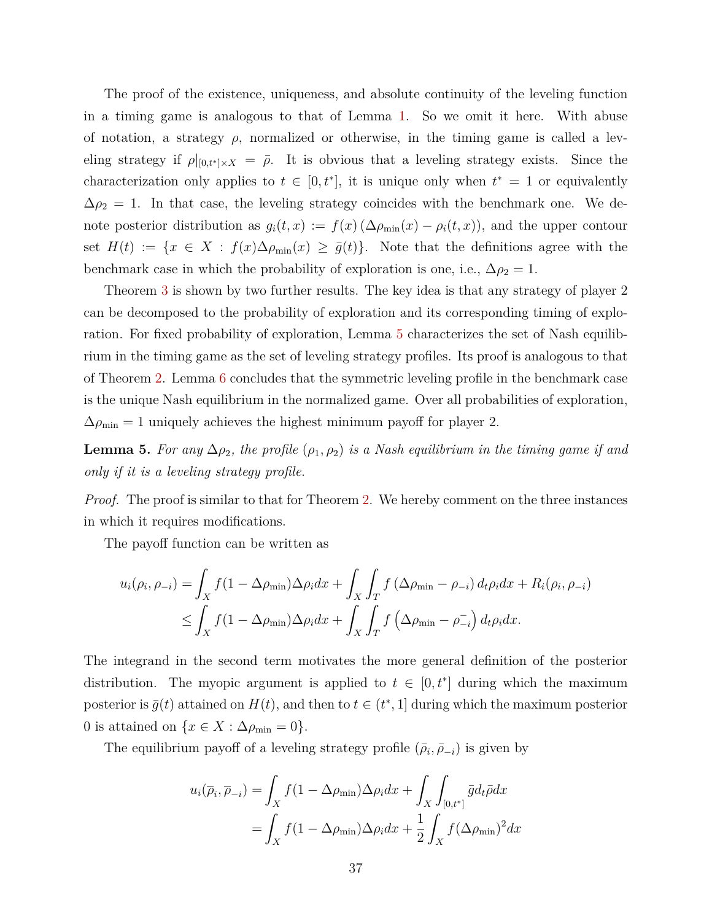The proof of the existence, uniqueness, and absolute continuity of the leveling function in a timing game is analogous to that of Lemma [1.](#page-13-0) So we omit it here. With abuse of notation, a strategy  $\rho$ , normalized or otherwise, in the timing game is called a leveling strategy if  $\rho|_{[0,t^*]\times X} = \overline{\rho}$ . It is obvious that a leveling strategy exists. Since the characterization only applies to  $t \in [0, t^*]$ , it is unique only when  $t^* = 1$  or equivalently  $\Delta \rho_2 = 1$ . In that case, the leveling strategy coincides with the benchmark one. We denote posterior distribution as  $g_i(t, x) := f(x) (\Delta \rho_{\min}(x) - \rho_i(t, x))$ , and the upper contour set  $H(t) := \{x \in X : f(x) \Delta \rho_{\min}(x) \geq \overline{g}(t)\}.$  Note that the definitions agree with the benchmark case in which the probability of exploration is one, i.e.,  $\Delta \rho_2 = 1$ .

Theorem [3](#page-18-1) is shown by two further results. The key idea is that any strategy of player 2 can be decomposed to the probability of exploration and its corresponding timing of exploration. For fixed probability of exploration, Lemma [5](#page-38-0) characterizes the set of Nash equilibrium in the timing game as the set of leveling strategy profiles. Its proof is analogous to that of Theorem [2.](#page-15-1) Lemma [6](#page-39-0) concludes that the symmetric leveling profile in the benchmark case is the unique Nash equilibrium in the normalized game. Over all probabilities of exploration,  $\Delta\rho_\mathrm{min}=1$  uniquely achieves the highest minimum payoff for player 2.

<span id="page-38-0"></span>**Lemma 5.** For any  $\Delta \rho_2$ , the profile  $(\rho_1, \rho_2)$  is a Nash equilibrium in the timing game if and *only if it is a leveling strategy profile.*

*Proof.* The proof is similar to that for Theorem [2.](#page-15-1) We hereby comment on the three instances in which it requires modifications.

The payoff function can be written as

$$
u_i(\rho_i, \rho_{-i}) = \int_X f(1 - \Delta \rho_{\min}) \Delta \rho_i dx + \int_X \int_T f(\Delta \rho_{\min} - \rho_{-i}) d_t \rho_i dx + R_i(\rho_i, \rho_{-i})
$$
  

$$
\leq \int_X f(1 - \Delta \rho_{\min}) \Delta \rho_i dx + \int_X \int_T f(\Delta \rho_{\min} - \rho_{-i}) d_t \rho_i dx.
$$

The integrand in the second term motivates the more general definition of the posterior distribution. The myopic argument is applied to  $t \in [0, t^*]$  during which the maximum posterior is  $\bar{g}(t)$  attained on  $H(t)$ , and then to  $t \in (t^*, 1]$  during which the maximum posterior 0 is attained on  $\{x \in X : \Delta \rho_{\min} = 0\}.$ 

The equilibrium payoff of a leveling strategy profile  $(\bar{\rho}_i, \bar{\rho}_{-i})$  is given by

$$
u_i(\overline{\rho}_i, \overline{\rho}_{-i}) = \int_X f(1 - \Delta \rho_{\min}) \Delta \rho_i dx + \int_X \int_{[0, t^*]} \overline{g} d_t \overline{\rho} dx
$$
  
= 
$$
\int_X f(1 - \Delta \rho_{\min}) \Delta \rho_i dx + \frac{1}{2} \int_X f(\Delta \rho_{\min})^2 dx
$$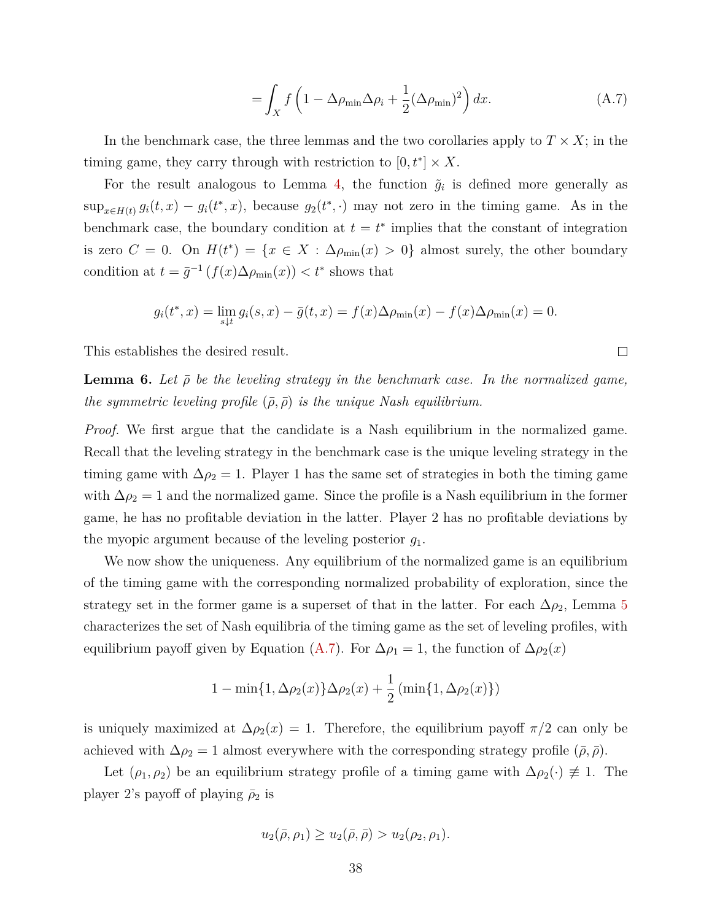$$
= \int_X f\left(1 - \Delta\rho_{\min}\Delta\rho_i + \frac{1}{2}(\Delta\rho_{\min})^2\right) dx.
$$
 (A.7)

<span id="page-39-1"></span> $\Box$ 

In the benchmark case, the three lemmas and the two corollaries apply to  $T \times X$ ; in the timing game, they carry through with restriction to  $[0, t^*] \times X$ .

For the result analogous to Lemma [4,](#page-35-0) the function  $\tilde{g}_i$  is defined more generally as  $\sup_{x \in H(t)} g_i(t, x) - g_i(t^*, x)$ , because  $g_2(t^*, \cdot)$  may not zero in the timing game. As in the benchmark case, the boundary condition at  $t = t^*$  implies that the constant of integration is zero  $C = 0$ . On  $H(t^*) = \{x \in X : \Delta\rho_{\min}(x) > 0\}$  almost surely, the other boundary condition at  $t = \bar{g}^{-1}(f(x)\Delta\rho_{\min}(x)) < t^*$  shows that

$$
g_i(t^*, x) = \lim_{s \downarrow t} g_i(s, x) - \bar{g}(t, x) = f(x) \Delta \rho_{\min}(x) - f(x) \Delta \rho_{\min}(x) = 0.
$$

This establishes the desired result.

<span id="page-39-0"></span>**Lemma 6.** Let  $\bar{\rho}$  be the leveling strategy in the benchmark case. In the normalized game, *the symmetric leveling profile*  $(\bar{\rho}, \bar{\rho})$  *is the unique Nash equilibrium.* 

*Proof.* We first argue that the candidate is a Nash equilibrium in the normalized game. Recall that the leveling strategy in the benchmark case is the unique leveling strategy in the timing game with  $\Delta \rho_2 = 1$ . Player 1 has the same set of strategies in both the timing game with  $\Delta \rho_2 = 1$  and the normalized game. Since the profile is a Nash equilibrium in the former game, he has no profitable deviation in the latter. Player 2 has no profitable deviations by the myopic argument because of the leveling posterior *g*1.

We now show the uniqueness. Any equilibrium of the normalized game is an equilibrium of the timing game with the corresponding normalized probability of exploration, since the strategy set in the former game is a superset of that in the latter. For each  $\Delta \rho_2$ , Lemma [5](#page-38-0) characterizes the set of Nash equilibria of the timing game as the set of leveling profiles, with equilibrium payoff given by Equation [\(A.7\)](#page-39-1). For  $\Delta \rho_1 = 1$ , the function of  $\Delta \rho_2(x)$ 

$$
1 - \min\{1, \Delta \rho_2(x)\} \Delta \rho_2(x) + \frac{1}{2} (\min\{1, \Delta \rho_2(x)\})
$$

is uniquely maximized at  $\Delta \rho_2(x) = 1$ . Therefore, the equilibrium payoff  $\pi/2$  can only be achieved with  $\Delta \rho_2 = 1$  almost everywhere with the corresponding strategy profile  $(\bar{\rho}, \bar{\rho})$ .

Let  $(\rho_1, \rho_2)$  be an equilibrium strategy profile of a timing game with  $\Delta \rho_2(\cdot) \neq 1$ . The player 2's payoff of playing  $\bar{\rho}_2$  is

$$
u_2(\bar{\rho}, \rho_1) \ge u_2(\bar{\rho}, \bar{\rho}) > u_2(\rho_2, \rho_1).
$$

$$
38 \\
$$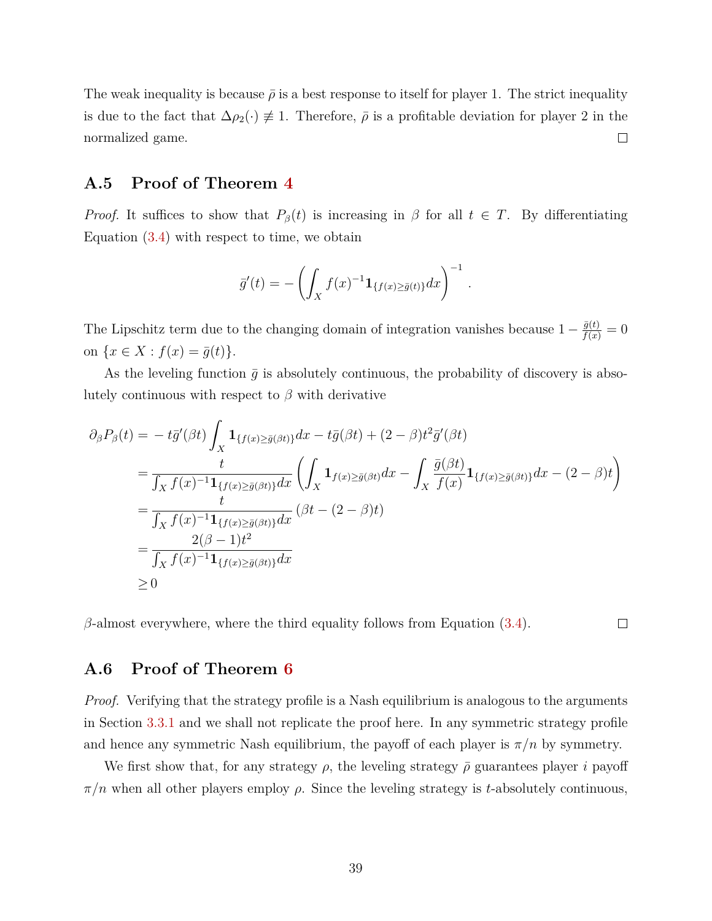The weak inequality is because  $\bar{\rho}$  is a best response to itself for player 1. The strict inequality is due to the fact that  $\Delta \rho_2(\cdot) \neq 1$ . Therefore,  $\bar{\rho}$  is a profitable deviation for player 2 in the normalized game.  $\Box$ 

## <span id="page-40-0"></span>**A.5 Proof of Theorem [4](#page-20-1)**

*Proof.* It suffices to show that  $P_\beta(t)$  is increasing in  $\beta$  for all  $t \in T$ . By differentiating Equation  $(3.4)$  with respect to time, we obtain

$$
\bar{g}'(t) = -\left(\int_X f(x)^{-1} \mathbf{1}_{\{f(x) \ge \bar{g}(t)\}} dx\right)^{-1}
$$

*.*

 $\Box$ 

The Lipschitz term due to the changing domain of integration vanishes because  $1 - \frac{\bar{g}(t)}{f(x)} = 0$ on  $\{x \in X : f(x) = \bar{g}(t)\}.$ 

As the leveling function  $\bar{g}$  is absolutely continuous, the probability of discovery is absolutely continuous with respect to  $\beta$  with derivative

$$
\partial_{\beta}P_{\beta}(t) = -t\bar{g}'(\beta t) \int_{X} \mathbf{1}_{\{f(x) \ge \bar{g}(\beta t)\}} dx - t\bar{g}(\beta t) + (2 - \beta)t^{2} \bar{g}'(\beta t)
$$
\n
$$
= \frac{t}{\int_{X} f(x)^{-1} \mathbf{1}_{\{f(x) \ge \bar{g}(\beta t)\}} dx} \left( \int_{X} \mathbf{1}_{f(x) \ge \bar{g}(\beta t)} dx - \int_{X} \frac{\bar{g}(\beta t)}{f(x)} \mathbf{1}_{\{f(x) \ge \bar{g}(\beta t)\}} dx - (2 - \beta)t \right)
$$
\n
$$
= \frac{t}{\int_{X} f(x)^{-1} \mathbf{1}_{\{f(x) \ge \bar{g}(\beta t)\}} dx} (\beta t - (2 - \beta)t)
$$
\n
$$
= \frac{2(\beta - 1)t^{2}}{\int_{X} f(x)^{-1} \mathbf{1}_{\{f(x) \ge \bar{g}(\beta t)\}} dx}
$$
\n
$$
\ge 0
$$

 $\beta$ -almost everywhere, where the third equality follows from Equation [\(3.4\)](#page-13-1).

## <span id="page-40-1"></span>**A.6 Proof of Theorem [6](#page-23-1)**

*Proof.* Verifying that the strategy profile is a Nash equilibrium is analogous to the arguments in Section [3.3.1](#page-16-0) and we shall not replicate the proof here. In any symmetric strategy profile and hence any symmetric Nash equilibrium, the payoff of each player is  $\pi/n$  by symmetry.

We first show that, for any strategy  $\rho$ , the leveling strategy  $\bar{\rho}$  guarantees player *i* payoff  $\pi/n$  when all other players employ  $\rho$ . Since the leveling strategy is *t*-absolutely continuous,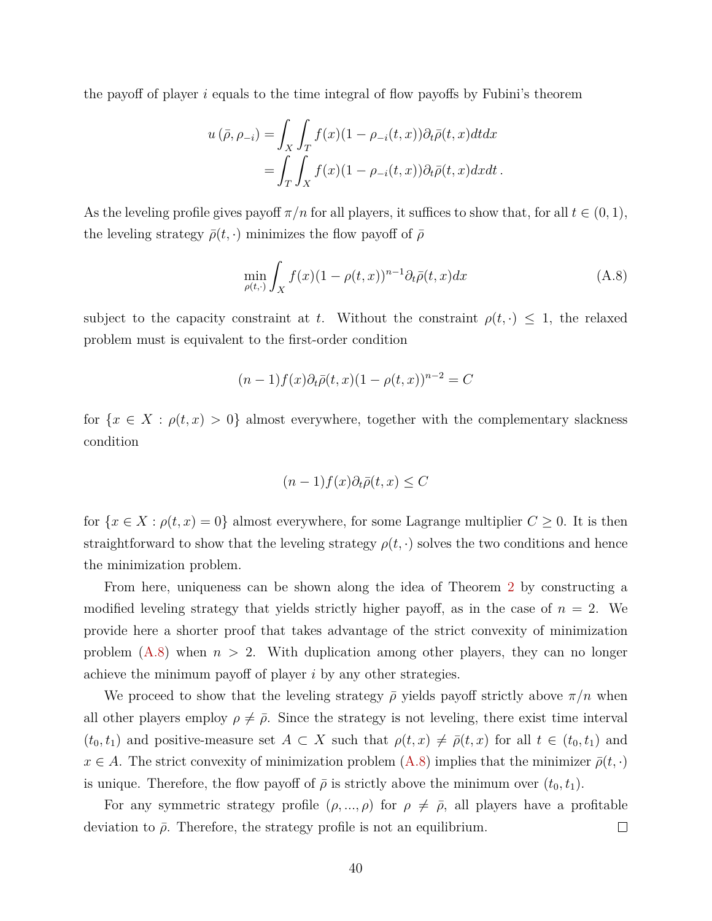the payoff of player *i* equals to the time integral of flow payoffs by Fubini's theorem

$$
u(\bar{\rho}, \rho_{-i}) = \int_X \int_T f(x) (1 - \rho_{-i}(t, x)) \partial_t \bar{\rho}(t, x) dt dx
$$
  
= 
$$
\int_T \int_X f(x) (1 - \rho_{-i}(t, x)) \partial_t \bar{\rho}(t, x) dx dt.
$$

As the leveling profile gives payoff  $\pi/n$  for all players, it suffices to show that, for all  $t \in (0,1)$ , the leveling strategy  $\bar{\rho}(t, \cdot)$  minimizes the flow payoff of  $\bar{\rho}$ 

<span id="page-41-0"></span>
$$
\min_{\rho(t,\cdot)} \int_X f(x)(1-\rho(t,x))^{n-1} \partial_t \bar{\rho}(t,x) dx \tag{A.8}
$$

subject to the capacity constraint at *t*. Without the constraint  $\rho(t, \cdot) \leq 1$ , the relaxed problem must is equivalent to the first-order condition

$$
(n-1)f(x)\partial_t\bar{\rho}(t,x)(1-\rho(t,x))^{n-2}=C
$$

for  $\{x \in X : \rho(t,x) > 0\}$  almost everywhere, together with the complementary slackness condition

$$
(n-1)f(x)\partial_t\bar{\rho}(t,x)\leq C
$$

for  ${x \in X : \rho(t, x) = 0}$  almost everywhere, for some Lagrange multiplier  $C \geq 0$ . It is then straightforward to show that the leveling strategy  $\rho(t, \cdot)$  solves the two conditions and hence the minimization problem.

From here, uniqueness can be shown along the idea of Theorem [2](#page-15-1) by constructing a modified leveling strategy that yields strictly higher payoff, as in the case of  $n = 2$ . We provide here a shorter proof that takes advantage of the strict convexity of minimization problem  $(A.8)$  when  $n > 2$ . With duplication among other players, they can no longer achieve the minimum payoff of player *i* by any other strategies.

We proceed to show that the leveling strategy  $\bar{\rho}$  yields payoff strictly above  $\pi/n$  when all other players employ  $\rho \neq \bar{\rho}$ . Since the strategy is not leveling, there exist time interval  $(t_0, t_1)$  and positive-measure set  $A \subset X$  such that  $\rho(t, x) \neq \overline{\rho}(t, x)$  for all  $t \in (t_0, t_1)$  and  $x \in A$ . The strict convexity of minimization problem  $(A.8)$  implies that the minimizer  $\bar{\rho}(t, \cdot)$ is unique. Therefore, the flow payoff of  $\bar{\rho}$  is strictly above the minimum over  $(t_0, t_1)$ .

For any symmetric strategy profile  $(\rho, ..., \rho)$  for  $\rho \neq \overline{\rho}$ , all players have a profitable deviation to  $\bar{\rho}$ . Therefore, the strategy profile is not an equilibrium.  $\Box$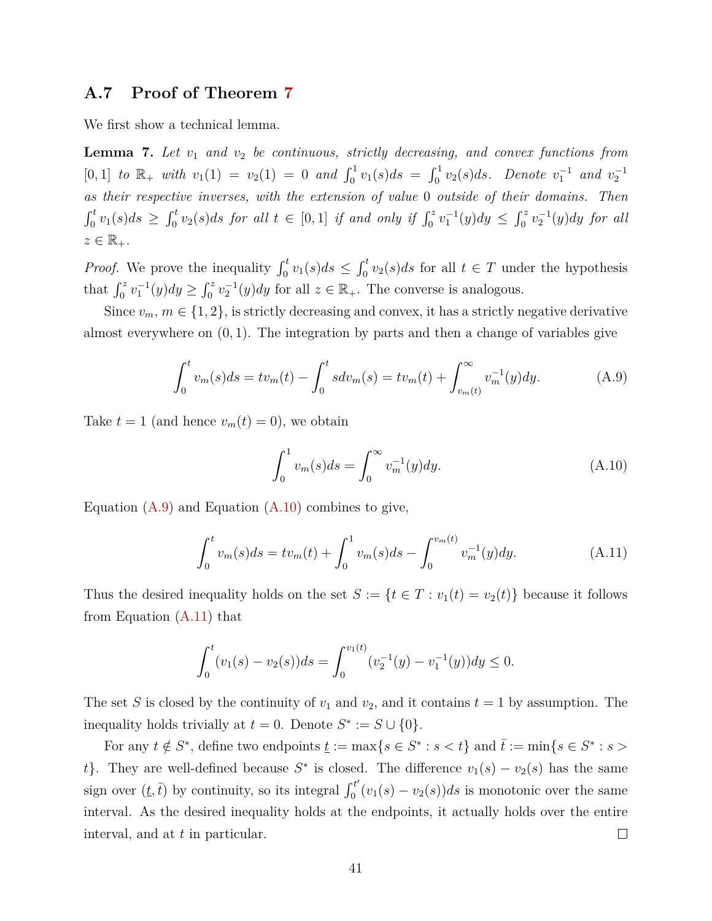## <span id="page-42-0"></span>**A.7 Proof of Theorem [7](#page-24-1)**

<span id="page-42-4"></span>We first show a technical lemma.

**Lemma 7.** *Let v*<sup>1</sup> *and v*<sup>2</sup> *be continuous, strictly decreasing, and convex functions from*  $[0, 1]$  *to*  $\mathbb{R}_+$  *with*  $v_1(1) = v_2(1) = 0$  *and*  $\int_0^1 v_1(s) ds = \int_0^1 v_2(s) ds$ *. Denote*  $v_1^{-1}$  *and*  $v_2^{-1}$ *as their respective inverses, with the extension of value* 0 *outside of their domains. Then*  $\int_0^t v_1(s)ds \geq \int_0^t v_2(s)ds$  for all  $t \in [0,1]$  if and only if  $\int_0^z v_1^{-1}(y)dy \leq \int_0^z v_2^{-1}(y)dy$  for all  $z \in \mathbb{R}_+$ .

*Proof.* We prove the inequality  $\int_0^t v_1(s)ds \leq \int_0^t v_2(s)ds$  for all  $t \in T$  under the hypothesis that  $\int_0^z v_1^{-1}(y) dy \ge \int_0^z v_2^{-1}(y) dy$  for all  $z \in \mathbb{R}_+$ . The converse is analogous.

Since  $v_m$ ,  $m \in \{1, 2\}$ , is strictly decreasing and convex, it has a strictly negative derivative almost everywhere on (0*,* 1). The integration by parts and then a change of variables give

<span id="page-42-1"></span>
$$
\int_0^t v_m(s)ds = tv_m(t) - \int_0^t s dv_m(s) = tv_m(t) + \int_{v_m(t)}^\infty v_m^{-1}(y)dy.
$$
 (A.9)

Take  $t = 1$  (and hence  $v_m(t) = 0$ ), we obtain

<span id="page-42-2"></span>
$$
\int_0^1 v_m(s)ds = \int_0^\infty v_m^{-1}(y)dy.
$$
\n(A.10)

Equation  $(A.9)$  and Equation  $(A.10)$  combines to give,

<span id="page-42-3"></span>
$$
\int_0^t v_m(s)ds = tv_m(t) + \int_0^1 v_m(s)ds - \int_0^{v_m(t)} v_m^{-1}(y)dy.
$$
 (A.11)

Thus the desired inequality holds on the set  $S := \{t \in T : v_1(t) = v_2(t)\}\)$  because it follows from Equation [\(A.11\)](#page-42-3) that

$$
\int_0^t (v_1(s) - v_2(s))ds = \int_0^{v_1(t)} (v_2^{-1}(y) - v_1^{-1}(y))dy \le 0.
$$

The set *S* is closed by the continuity of  $v_1$  and  $v_2$ , and it contains  $t = 1$  by assumption. The inequality holds trivially at  $t = 0$ . Denote  $S^* := S \cup \{0\}$ .

For any  $t \notin S^*$ , define two endpoints  $\underline{t} := \max\{s \in S^* : s < t\}$  and  $\overline{t} := \min\{s \in S^* : s > t\}$ *t*}. They are well-defined because  $S^*$  is closed. The difference  $v_1(s) - v_2(s)$  has the same sign over  $(\underline{t},\overline{t})$  by continuity, so its integral  $\int_0^{t'}$  $\int_0^t (v_1(s) - v_2(s))ds$  is monotonic over the same interval. As the desired inequality holds at the endpoints, it actually holds over the entire  $\Box$ interval, and at *t* in particular.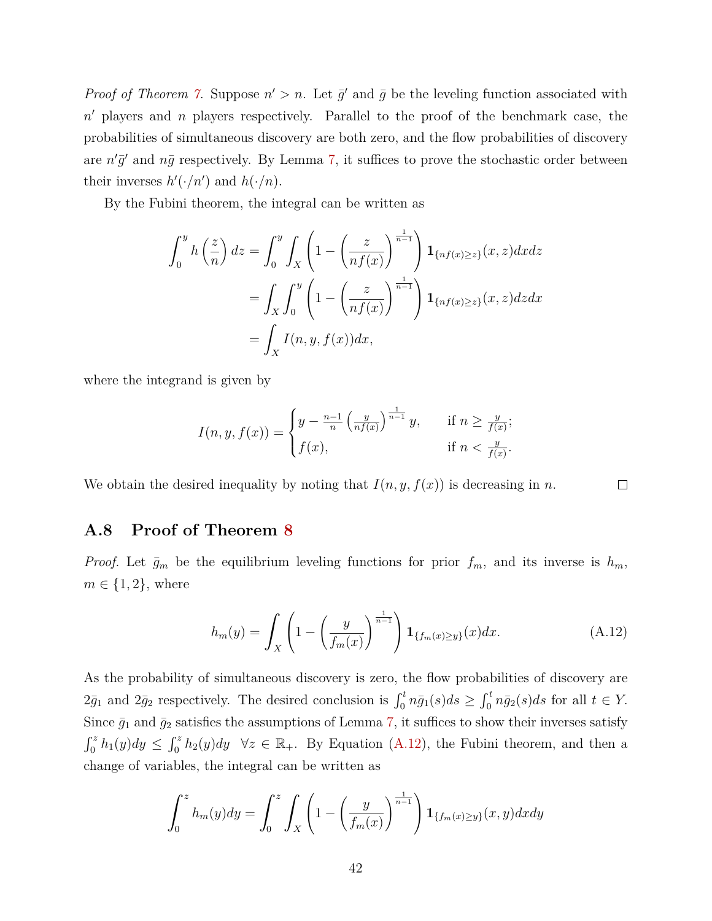*Proof of Theorem [7.](#page-24-1)* Suppose  $n' > n$ . Let  $\bar{g}'$  and  $\bar{g}$  be the leveling function associated with n' players and *n* players respectively. Parallel to the proof of the benchmark case, the probabilities of simultaneous discovery are both zero, and the flow probabilities of discovery are  $n'\bar{g}'$  and  $n\bar{g}$  respectively. By Lemma [7,](#page-42-4) it suffices to prove the stochastic order between their inverses  $h'(\cdot/n')$  and  $h(\cdot/n)$ .

By the Fubini theorem, the integral can be written as

$$
\int_0^y h\left(\frac{z}{n}\right) dz = \int_0^y \int_X \left(1 - \left(\frac{z}{nf(x)}\right)^{\frac{1}{n-1}}\right) \mathbf{1}_{\{nf(x) \ge z\}}(x, z) dx dz
$$

$$
= \int_X \int_0^y \left(1 - \left(\frac{z}{nf(x)}\right)^{\frac{1}{n-1}}\right) \mathbf{1}_{\{nf(x) \ge z\}}(x, z) dz dx
$$

$$
= \int_X I(n, y, f(x)) dx,
$$

where the integrand is given by

$$
I(n, y, f(x)) = \begin{cases} y - \frac{n-1}{n} \left(\frac{y}{nf(x)}\right)^{\frac{1}{n-1}} y, & \text{if } n \ge \frac{y}{f(x)}; \\ f(x), & \text{if } n < \frac{y}{f(x)}. \end{cases}
$$

We obtain the desired inequality by noting that  $I(n, y, f(x))$  is decreasing in *n*.

## <span id="page-43-0"></span>**A.8 Proof of Theorem [8](#page-25-1)**

*Proof.* Let  $\bar{g}_m$  be the equilibrium leveling functions for prior  $f_m$ , and its inverse is  $h_m$ ,  $m \in \{1, 2\}$ , where

$$
h_m(y) = \int_X \left( 1 - \left( \frac{y}{f_m(x)} \right)^{\frac{1}{n-1}} \right) \mathbf{1}_{\{f_m(x) \ge y\}}(x) dx. \tag{A.12}
$$

<span id="page-43-1"></span> $\Box$ 

As the probability of simultaneous discovery is zero, the flow probabilities of discovery are  $2\bar{g}_1$  and  $2\bar{g}_2$  respectively. The desired conclusion is  $\int_0^t n\bar{g}_1(s)ds \geq \int_0^t n\bar{g}_2(s)ds$  for all  $t \in Y$ . Since  $\bar{g}_1$  and  $\bar{g}_2$  satisfies the assumptions of Lemma [7,](#page-42-4) it suffices to show their inverses satisfy  $\int_0^z h_1(y) dy \leq \int_0^z h_2(y) dy \quad \forall z \in \mathbb{R}_+$ . By Equation [\(A.12\)](#page-43-1), the Fubini theorem, and then a change of variables, the integral can be written as

$$
\int_0^z h_m(y)dy = \int_0^z \int_X \left(1 - \left(\frac{y}{f_m(x)}\right)^{\frac{1}{n-1}}\right) \mathbf{1}_{\{f_m(x) \ge y\}}(x, y) dx dy
$$